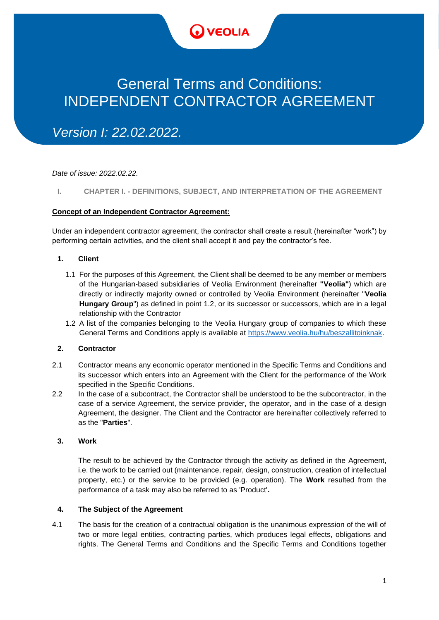

# General Terms and Conditions: INDEPENDENT CONTRACTOR AGREEMENT

*Version I: 22.02.2022.*

*Date of issue: 2022.02.22.*

# **I. CHAPTER I. - DEFINITIONS, SUBJECT, AND INTERPRETATION OF THE AGREEMENT**

## **Concept of an Independent Contractor Agreement:**

Under an independent contractor agreement, the contractor shall create a result (hereinafter "work") by performing certain activities, and the client shall accept it and pay the contractor's fee.

## **1. Client**

- 1.1 For the purposes of this Agreement, the Client shall be deemed to be any member or members of the Hungarian-based subsidiaries of Veolia Environment (hereinafter **"Veolia"**) which are directly or indirectly majority owned or controlled by Veolia Environment (hereinafter "**Veolia Hungary Group**") as defined in point 1.2, or its successor or successors, which are in a legal relationship with the Contractor
- 1.2 A list of the companies belonging to the Veolia Hungary group of companies to which these General Terms and Conditions apply is available at [https://www.veolia.hu/hu/beszallitoinknak.](https://www.veolia.hu/hu/beszallitoinknak)

## **2. Contractor**

- 2.1 Contractor means any economic operator mentioned in the Specific Terms and Conditions and its successor which enters into an Agreement with the Client for the performance of the Work specified in the Specific Conditions.
- 2.2 In the case of a subcontract, the Contractor shall be understood to be the subcontractor, in the case of a service Agreement, the service provider, the operator, and in the case of a design Agreement, the designer. The Client and the Contractor are hereinafter collectively referred to as the "**Parties**".

## **3. Work**

The result to be achieved by the Contractor through the activity as defined in the Agreement, i.e. the work to be carried out (maintenance, repair, design, construction, creation of intellectual property, etc.) or the service to be provided (e.g. operation). The **Work** resulted from the performance of a task may also be referred to as 'Product'**.**

## **4. The Subject of the Agreement**

4.1 The basis for the creation of a contractual obligation is the unanimous expression of the will of two or more legal entities, contracting parties, which produces legal effects, obligations and rights. The General Terms and Conditions and the Specific Terms and Conditions together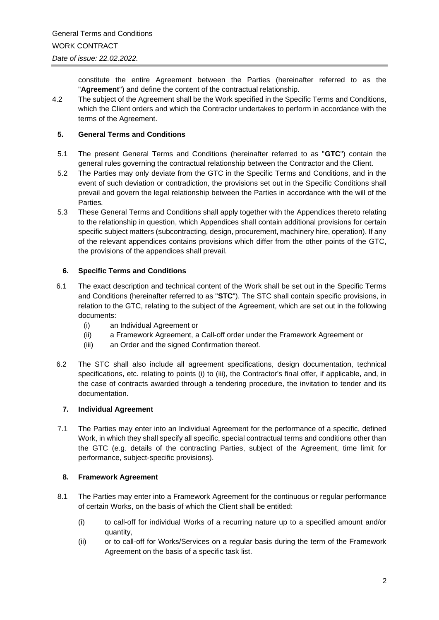constitute the entire Agreement between the Parties (hereinafter referred to as the "**Agreement**") and define the content of the contractual relationship.

4.2 The subject of the Agreement shall be the Work specified in the Specific Terms and Conditions, which the Client orders and which the Contractor undertakes to perform in accordance with the terms of the Agreement.

# **5. General Terms and Conditions**

- 5.1 The present General Terms and Conditions (hereinafter referred to as "**GTC**") contain the general rules governing the contractual relationship between the Contractor and the Client.
- 5.2 The Parties may only deviate from the GTC in the Specific Terms and Conditions, and in the event of such deviation or contradiction, the provisions set out in the Specific Conditions shall prevail and govern the legal relationship between the Parties in accordance with the will of the Parties*.*
- 5.3 These General Terms and Conditions shall apply together with the Appendices thereto relating to the relationship in question, which Appendices shall contain additional provisions for certain specific subject matters (subcontracting, design, procurement, machinery hire, operation). If any of the relevant appendices contains provisions which differ from the other points of the GTC, the provisions of the appendices shall prevail.

# **6. Specific Terms and Conditions**

- 6.1 The exact description and technical content of the Work shall be set out in the Specific Terms and Conditions (hereinafter referred to as "**STC**"). The STC shall contain specific provisions, in relation to the GTC, relating to the subject of the Agreement, which are set out in the following documents:
	- (i) an Individual Agreement or
	- (ii) a Framework Agreement, a Call-off order under the Framework Agreement or
	- (iii) an Order and the signed Confirmation thereof.
- 6.2 The STC shall also include all agreement specifications, design documentation, technical specifications, etc. relating to points (i) to (iii), the Contractor's final offer, if applicable, and, in the case of contracts awarded through a tendering procedure, the invitation to tender and its documentation.

# **7. Individual Agreement**

7.1 The Parties may enter into an Individual Agreement for the performance of a specific, defined Work, in which they shall specify all specific, special contractual terms and conditions other than the GTC (e.g. details of the contracting Parties, subject of the Agreement, time limit for performance, subject-specific provisions).

# **8. Framework Agreement**

- 8.1 The Parties may enter into a Framework Agreement for the continuous or regular performance of certain Works, on the basis of which the Client shall be entitled:
	- (i) to call-off for individual Works of a recurring nature up to a specified amount and/or quantity,
	- (ii) or to call-off for Works/Services on a regular basis during the term of the Framework Agreement on the basis of a specific task list.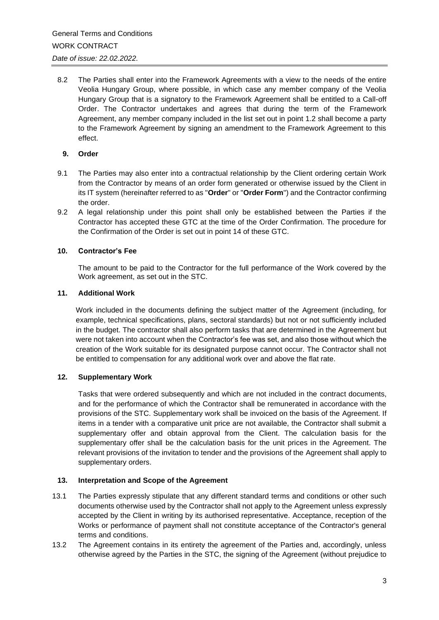8.2 The Parties shall enter into the Framework Agreements with a view to the needs of the entire Veolia Hungary Group, where possible, in which case any member company of the Veolia Hungary Group that is a signatory to the Framework Agreement shall be entitled to a Call-off Order. The Contractor undertakes and agrees that during the term of the Framework Agreement, any member company included in the list set out in point 1.2 shall become a party to the Framework Agreement by signing an amendment to the Framework Agreement to this effect.

## **9. Order**

- 9.1 The Parties may also enter into a contractual relationship by the Client ordering certain Work from the Contractor by means of an order form generated or otherwise issued by the Client in its IT system (hereinafter referred to as "**Order**" or "**Order Form**") and the Contractor confirming the order.
- 9.2 A legal relationship under this point shall only be established between the Parties if the Contractor has accepted these GTC at the time of the Order Confirmation. The procedure for the Confirmation of the Order is set out in point 14 of these GTC.

## **10. Contractor's Fee**

The amount to be paid to the Contractor for the full performance of the Work covered by the Work agreement, as set out in the STC.

## **11. Additional Work**

Work included in the documents defining the subject matter of the Agreement (including, for example, technical specifications, plans, sectoral standards) but not or not sufficiently included in the budget. The contractor shall also perform tasks that are determined in the Agreement but were not taken into account when the Contractor's fee was set, and also those without which the creation of the Work suitable for its designated purpose cannot occur. The Contractor shall not be entitled to compensation for any additional work over and above the flat rate.

## **12. Supplementary Work**

Tasks that were ordered subsequently and which are not included in the contract documents, and for the performance of which the Contractor shall be remunerated in accordance with the provisions of the STC. Supplementary work shall be invoiced on the basis of the Agreement. If items in a tender with a comparative unit price are not available, the Contractor shall submit a supplementary offer and obtain approval from the Client. The calculation basis for the supplementary offer shall be the calculation basis for the unit prices in the Agreement. The relevant provisions of the invitation to tender and the provisions of the Agreement shall apply to supplementary orders.

## **13. Interpretation and Scope of the Agreement**

- 13.1 The Parties expressly stipulate that any different standard terms and conditions or other such documents otherwise used by the Contractor shall not apply to the Agreement unless expressly accepted by the Client in writing by its authorised representative. Acceptance, reception of the Works or performance of payment shall not constitute acceptance of the Contractor's general terms and conditions.
- 13.2 The Agreement contains in its entirety the agreement of the Parties and, accordingly, unless otherwise agreed by the Parties in the STC, the signing of the Agreement (without prejudice to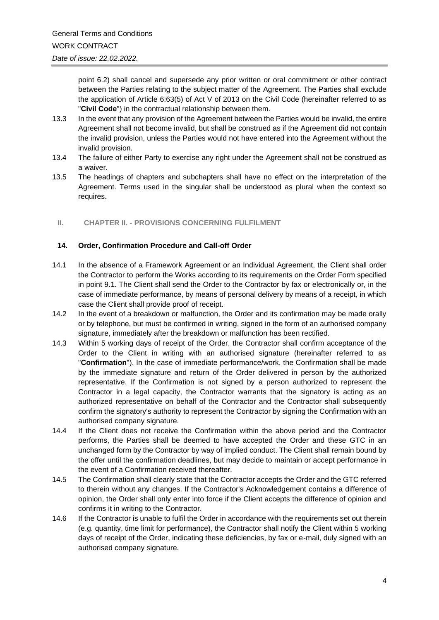point 6.2) shall cancel and supersede any prior written or oral commitment or other contract between the Parties relating to the subject matter of the Agreement. The Parties shall exclude the application of Article 6:63(5) of Act V of 2013 on the Civil Code (hereinafter referred to as "**Civil Code**") in the contractual relationship between them.

- 13.3 In the event that any provision of the Agreement between the Parties would be invalid, the entire Agreement shall not become invalid, but shall be construed as if the Agreement did not contain the invalid provision, unless the Parties would not have entered into the Agreement without the invalid provision.
- 13.4 The failure of either Party to exercise any right under the Agreement shall not be construed as a waiver.
- 13.5 The headings of chapters and subchapters shall have no effect on the interpretation of the Agreement. Terms used in the singular shall be understood as plural when the context so requires.

## **II. CHAPTER II. - PROVISIONS CONCERNING FULFILMENT**

## **14. Order, Confirmation Procedure and Call-off Order**

- 14.1 In the absence of a Framework Agreement or an Individual Agreement, the Client shall order the Contractor to perform the Works according to its requirements on the Order Form specified in point 9.1. The Client shall send the Order to the Contractor by fax or electronically or, in the case of immediate performance, by means of personal delivery by means of a receipt, in which case the Client shall provide proof of receipt.
- 14.2 In the event of a breakdown or malfunction, the Order and its confirmation may be made orally or by telephone, but must be confirmed in writing, signed in the form of an authorised company signature, immediately after the breakdown or malfunction has been rectified.
- 14.3 Within 5 working days of receipt of the Order, the Contractor shall confirm acceptance of the Order to the Client in writing with an authorised signature (hereinafter referred to as "**Confirmation**"). In the case of immediate performance/work, the Confirmation shall be made by the immediate signature and return of the Order delivered in person by the authorized representative. If the Confirmation is not signed by a person authorized to represent the Contractor in a legal capacity, the Contractor warrants that the signatory is acting as an authorized representative on behalf of the Contractor and the Contractor shall subsequently confirm the signatory's authority to represent the Contractor by signing the Confirmation with an authorised company signature.
- 14.4 If the Client does not receive the Confirmation within the above period and the Contractor performs, the Parties shall be deemed to have accepted the Order and these GTC in an unchanged form by the Contractor by way of implied conduct. The Client shall remain bound by the offer until the confirmation deadlines, but may decide to maintain or accept performance in the event of a Confirmation received thereafter.
- 14.5 The Confirmation shall clearly state that the Contractor accepts the Order and the GTC referred to therein without any changes. If the Contractor's Acknowledgement contains a difference of opinion, the Order shall only enter into force if the Client accepts the difference of opinion and confirms it in writing to the Contractor.
- 14.6 If the Contractor is unable to fulfil the Order in accordance with the requirements set out therein (e.g. quantity, time limit for performance), the Contractor shall notify the Client within 5 working days of receipt of the Order, indicating these deficiencies, by fax or e-mail, duly signed with an authorised company signature.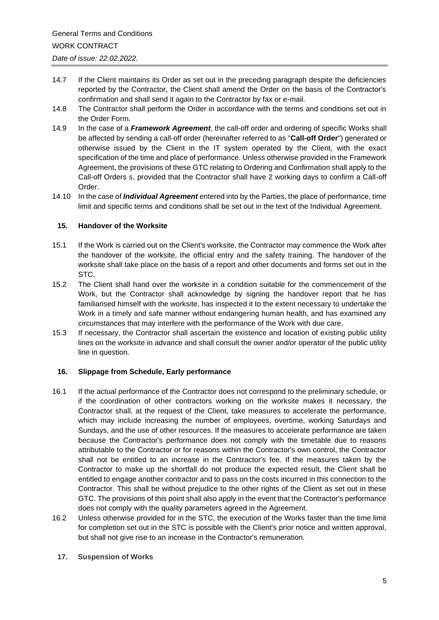- 14.7 If the Client maintains its Order as set out in the preceding paragraph despite the deficiencies reported by the Contractor, the Client shall amend the Order on the basis of the Contractor's confirmation and shall send it again to the Contractor by fax or e-mail.
- 14.8 The Contractor shall perform the Order in accordance with the terms and conditions set out in the Order Form.
- 14.9 In the case of a *Framework Agreement*, the call-off order and ordering of specific Works shall be affected by sending a call-off order (hereinafter referred to as "**Call-off Order**") generated or otherwise issued by the Client in the IT system operated by the Client, with the exact specification of the time and place of performance. Unless otherwise provided in the Framework Agreement, the provisions of these GTC relating to Ordering and Confirmation shall apply to the Call-off Orders s, provided that the Contractor shall have 2 working days to confirm a Call-off Order.
- 14.10 In the case of *Individual Agreement* entered into by the Parties, the place of performance, time limit and specific terms and conditions shall be set out in the text of the Individual Agreement.

## **15. Handover of the Worksite**

- 15.1 If the Work is carried out on the Client's worksite, the Contractor may commence the Work after the handover of the worksite, the official entry and the safety training. The handover of the worksite shall take place on the basis of a report and other documents and forms set out in the STC.
- 15.2 The Client shall hand over the worksite in a condition suitable for the commencement of the Work, but the Contractor shall acknowledge by signing the handover report that he has familiarised himself with the worksite, has inspected it to the extent necessary to undertake the Work in a timely and safe manner without endangering human health, and has examined any circumstances that may interfere with the performance of the Work with due care.
- 15.3 If necessary, the Contractor shall ascertain the existence and location of existing public utility lines on the worksite in advance and shall consult the owner and/or operator of the public utility line in question.

# **16. Slippage from Schedule, Early performance**

- 16.1 If the actual performance of the Contractor does not correspond to the preliminary schedule, or if the coordination of other contractors working on the worksite makes it necessary, the Contractor shall, at the request of the Client, take measures to accelerate the performance, which may include increasing the number of employees, overtime, working Saturdays and Sundays, and the use of other resources. If the measures to accelerate performance are taken because the Contractor's performance does not comply with the timetable due to reasons attributable to the Contractor or for reasons within the Contractor's own control, the Contractor shall not be entitled to an increase in the Contractor's fee. If the measures taken by the Contractor to make up the shortfall do not produce the expected result, the Client shall be entitled to engage another contractor and to pass on the costs incurred in this connection to the Contractor. This shall be without prejudice to the other rights of the Client as set out in these GTC. The provisions of this point shall also apply in the event that the Contractor's performance does not comply with the quality parameters agreed in the Agreement.
- 16.2 Unless otherwise provided for in the STC, the execution of the Works faster than the time limit for completion set out in the STC is possible with the Client's prior notice and written approval, but shall not give rise to an increase in the Contractor's remuneration.
	- **17. Suspension of Works**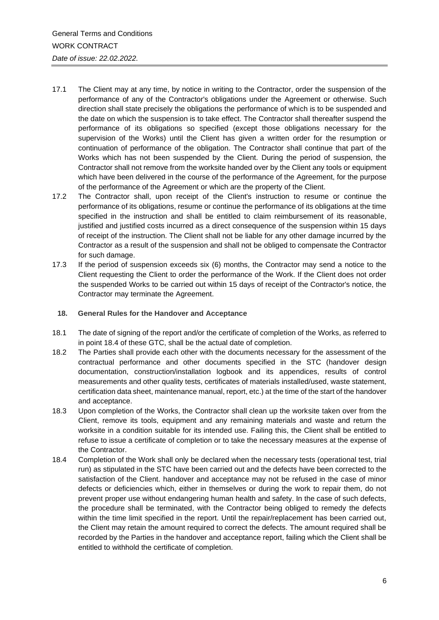- 17.1 The Client may at any time, by notice in writing to the Contractor, order the suspension of the performance of any of the Contractor's obligations under the Agreement or otherwise. Such direction shall state precisely the obligations the performance of which is to be suspended and the date on which the suspension is to take effect. The Contractor shall thereafter suspend the performance of its obligations so specified (except those obligations necessary for the supervision of the Works) until the Client has given a written order for the resumption or continuation of performance of the obligation. The Contractor shall continue that part of the Works which has not been suspended by the Client. During the period of suspension, the Contractor shall not remove from the worksite handed over by the Client any tools or equipment which have been delivered in the course of the performance of the Agreement, for the purpose of the performance of the Agreement or which are the property of the Client.
- 17.2 The Contractor shall, upon receipt of the Client's instruction to resume or continue the performance of its obligations, resume or continue the performance of its obligations at the time specified in the instruction and shall be entitled to claim reimbursement of its reasonable, justified and justified costs incurred as a direct consequence of the suspension within 15 days of receipt of the instruction. The Client shall not be liable for any other damage incurred by the Contractor as a result of the suspension and shall not be obliged to compensate the Contractor for such damage.
- 17.3 If the period of suspension exceeds six (6) months, the Contractor may send a notice to the Client requesting the Client to order the performance of the Work. If the Client does not order the suspended Works to be carried out within 15 days of receipt of the Contractor's notice, the Contractor may terminate the Agreement.
	- **18. General Rules for the Handover and Acceptance**
- 18.1 The date of signing of the report and/or the certificate of completion of the Works, as referred to in point 18.4 of these GTC, shall be the actual date of completion.
- 18.2 The Parties shall provide each other with the documents necessary for the assessment of the contractual performance and other documents specified in the STC (handover design documentation, construction/installation logbook and its appendices, results of control measurements and other quality tests, certificates of materials installed/used, waste statement, certification data sheet, maintenance manual, report, etc.) at the time of the start of the handover and acceptance.
- 18.3 Upon completion of the Works, the Contractor shall clean up the worksite taken over from the Client, remove its tools, equipment and any remaining materials and waste and return the worksite in a condition suitable for its intended use. Failing this, the Client shall be entitled to refuse to issue a certificate of completion or to take the necessary measures at the expense of the Contractor.
- 18.4 Completion of the Work shall only be declared when the necessary tests (operational test, trial run) as stipulated in the STC have been carried out and the defects have been corrected to the satisfaction of the Client. handover and acceptance may not be refused in the case of minor defects or deficiencies which, either in themselves or during the work to repair them, do not prevent proper use without endangering human health and safety. In the case of such defects, the procedure shall be terminated, with the Contractor being obliged to remedy the defects within the time limit specified in the report. Until the repair/replacement has been carried out, the Client may retain the amount required to correct the defects. The amount required shall be recorded by the Parties in the handover and acceptance report, failing which the Client shall be entitled to withhold the certificate of completion.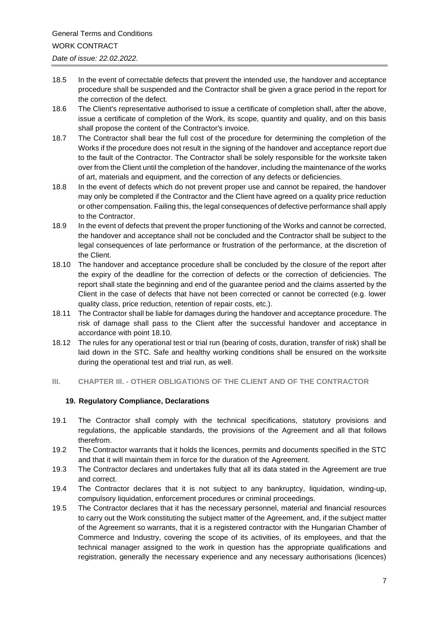- 18.5 In the event of correctable defects that prevent the intended use, the handover and acceptance procedure shall be suspended and the Contractor shall be given a grace period in the report for the correction of the defect.
- 18.6 The Client's representative authorised to issue a certificate of completion shall, after the above, issue a certificate of completion of the Work, its scope, quantity and quality, and on this basis shall propose the content of the Contractor's invoice.
- 18.7 The Contractor shall bear the full cost of the procedure for determining the completion of the Works if the procedure does not result in the signing of the handover and acceptance report due to the fault of the Contractor. The Contractor shall be solely responsible for the worksite taken over from the Client until the completion of the handover, including the maintenance of the works of art, materials and equipment, and the correction of any defects or deficiencies.
- 18.8 In the event of defects which do not prevent proper use and cannot be repaired, the handover may only be completed if the Contractor and the Client have agreed on a quality price reduction or other compensation. Failing this, the legal consequences of defective performance shall apply to the Contractor.
- 18.9 In the event of defects that prevent the proper functioning of the Works and cannot be corrected, the handover and acceptance shall not be concluded and the Contractor shall be subject to the legal consequences of late performance or frustration of the performance, at the discretion of the Client.
- 18.10 The handover and acceptance procedure shall be concluded by the closure of the report after the expiry of the deadline for the correction of defects or the correction of deficiencies. The report shall state the beginning and end of the guarantee period and the claims asserted by the Client in the case of defects that have not been corrected or cannot be corrected (e.g. lower quality class, price reduction, retention of repair costs, etc.).
- 18.11 The Contractor shall be liable for damages during the handover and acceptance procedure. The risk of damage shall pass to the Client after the successful handover and acceptance in accordance with point 18.10.
- 18.12 The rules for any operational test or trial run (bearing of costs, duration, transfer of risk) shall be laid down in the STC. Safe and healthy working conditions shall be ensured on the worksite during the operational test and trial run, as well.
- **III. CHAPTER III. - OTHER OBLIGATIONS OF THE CLIENT AND OF THE CONTRACTOR**

# **19. Regulatory Compliance, Declarations**

- 19.1 The Contractor shall comply with the technical specifications, statutory provisions and regulations, the applicable standards, the provisions of the Agreement and all that follows therefrom.
- 19.2 The Contractor warrants that it holds the licences, permits and documents specified in the STC and that it will maintain them in force for the duration of the Agreement.
- 19.3 The Contractor declares and undertakes fully that all its data stated in the Agreement are true and correct.
- 19.4 The Contractor declares that it is not subject to any bankruptcy, liquidation, winding-up, compulsory liquidation, enforcement procedures or criminal proceedings.
- 19.5 The Contractor declares that it has the necessary personnel, material and financial resources to carry out the Work constituting the subject matter of the Agreement, and, if the subject matter of the Agreement so warrants, that it is a registered contractor with the Hungarian Chamber of Commerce and Industry, covering the scope of its activities, of its employees, and that the technical manager assigned to the work in question has the appropriate qualifications and registration, generally the necessary experience and any necessary authorisations (licences)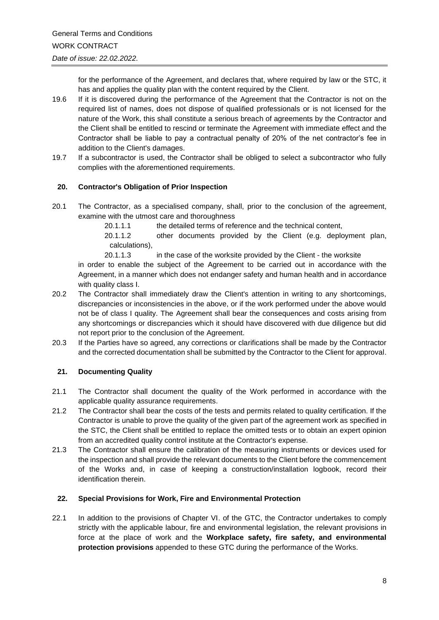for the performance of the Agreement, and declares that, where required by law or the STC, it has and applies the quality plan with the content required by the Client.

- 19.6 If it is discovered during the performance of the Agreement that the Contractor is not on the required list of names, does not dispose of qualified professionals or is not licensed for the nature of the Work, this shall constitute a serious breach of agreements by the Contractor and the Client shall be entitled to rescind or terminate the Agreement with immediate effect and the Contractor shall be liable to pay a contractual penalty of 20% of the net contractor's fee in addition to the Client's damages.
- 19.7 If a subcontractor is used, the Contractor shall be obliged to select a subcontractor who fully complies with the aforementioned requirements.

## **20. Contractor's Obligation of Prior Inspection**

20.1 The Contractor, as a specialised company, shall, prior to the conclusion of the agreement, examine with the utmost care and thoroughness

20.1.1.1 the detailed terms of reference and the technical content,

20.1.1.2 other documents provided by the Client (e.g. deployment plan, calculations),

20.1.1.3 in the case of the worksite provided by the Client - the worksite

in order to enable the subject of the Agreement to be carried out in accordance with the Agreement, in a manner which does not endanger safety and human health and in accordance with quality class I.

- 20.2 The Contractor shall immediately draw the Client's attention in writing to any shortcomings, discrepancies or inconsistencies in the above, or if the work performed under the above would not be of class I quality. The Agreement shall bear the consequences and costs arising from any shortcomings or discrepancies which it should have discovered with due diligence but did not report prior to the conclusion of the Agreement.
- 20.3 If the Parties have so agreed, any corrections or clarifications shall be made by the Contractor and the corrected documentation shall be submitted by the Contractor to the Client for approval.

# **21. Documenting Quality**

- 21.1 The Contractor shall document the quality of the Work performed in accordance with the applicable quality assurance requirements.
- 21.2 The Contractor shall bear the costs of the tests and permits related to quality certification. If the Contractor is unable to prove the quality of the given part of the agreement work as specified in the STC, the Client shall be entitled to replace the omitted tests or to obtain an expert opinion from an accredited quality control institute at the Contractor's expense.
- 21.3 The Contractor shall ensure the calibration of the measuring instruments or devices used for the inspection and shall provide the relevant documents to the Client before the commencement of the Works and, in case of keeping a construction/installation logbook, record their identification therein.

## **22. Special Provisions for Work, Fire and Environmental Protection**

22.1 In addition to the provisions of Chapter VI. of the GTC, the Contractor undertakes to comply strictly with the applicable labour, fire and environmental legislation, the relevant provisions in force at the place of work and the **Workplace safety, fire safety, and environmental protection provisions** appended to these GTC during the performance of the Works.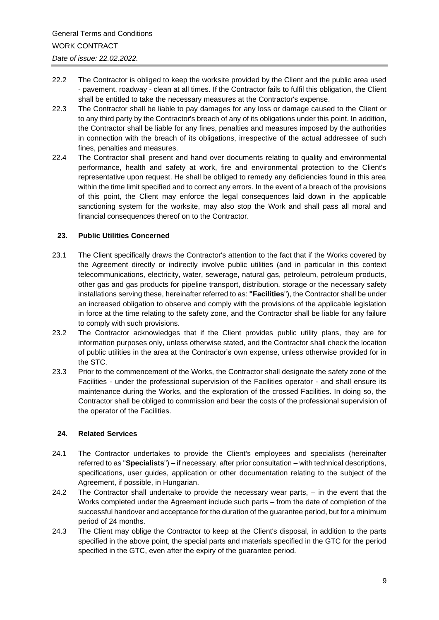- 22.2 The Contractor is obliged to keep the worksite provided by the Client and the public area used - pavement, roadway - clean at all times. If the Contractor fails to fulfil this obligation, the Client shall be entitled to take the necessary measures at the Contractor's expense.
- 22.3 The Contractor shall be liable to pay damages for any loss or damage caused to the Client or to any third party by the Contractor's breach of any of its obligations under this point. In addition, the Contractor shall be liable for any fines, penalties and measures imposed by the authorities in connection with the breach of its obligations, irrespective of the actual addressee of such fines, penalties and measures.
- 22.4 The Contractor shall present and hand over documents relating to quality and environmental performance, health and safety at work, fire and environmental protection to the Client's representative upon request. He shall be obliged to remedy any deficiencies found in this area within the time limit specified and to correct any errors. In the event of a breach of the provisions of this point, the Client may enforce the legal consequences laid down in the applicable sanctioning system for the worksite, may also stop the Work and shall pass all moral and financial consequences thereof on to the Contractor.

## **23. Public Utilities Concerned**

- 23.1 The Client specifically draws the Contractor's attention to the fact that if the Works covered by the Agreement directly or indirectly involve public utilities (and in particular in this context telecommunications, electricity, water, sewerage, natural gas, petroleum, petroleum products, other gas and gas products for pipeline transport, distribution, storage or the necessary safety installations serving these, hereinafter referred to as: **"Facilities**"), the Contractor shall be under an increased obligation to observe and comply with the provisions of the applicable legislation in force at the time relating to the safety zone, and the Contractor shall be liable for any failure to comply with such provisions.
- 23.2 The Contractor acknowledges that if the Client provides public utility plans, they are for information purposes only, unless otherwise stated, and the Contractor shall check the location of public utilities in the area at the Contractor's own expense, unless otherwise provided for in the STC.
- 23.3 Prior to the commencement of the Works, the Contractor shall designate the safety zone of the Facilities - under the professional supervision of the Facilities operator - and shall ensure its maintenance during the Works, and the exploration of the crossed Facilities. In doing so, the Contractor shall be obliged to commission and bear the costs of the professional supervision of the operator of the Facilities.

## **24. Related Services**

- 24.1 The Contractor undertakes to provide the Client's employees and specialists (hereinafter referred to as "**Specialists**") – if necessary, after prior consultation – with technical descriptions, specifications, user guides, application or other documentation relating to the subject of the Agreement, if possible, in Hungarian.
- 24.2 The Contractor shall undertake to provide the necessary wear parts, in the event that the Works completed under the Agreement include such parts – from the date of completion of the successful handover and acceptance for the duration of the guarantee period, but for a minimum period of 24 months.
- 24.3 The Client may oblige the Contractor to keep at the Client's disposal, in addition to the parts specified in the above point, the special parts and materials specified in the GTC for the period specified in the GTC, even after the expiry of the guarantee period.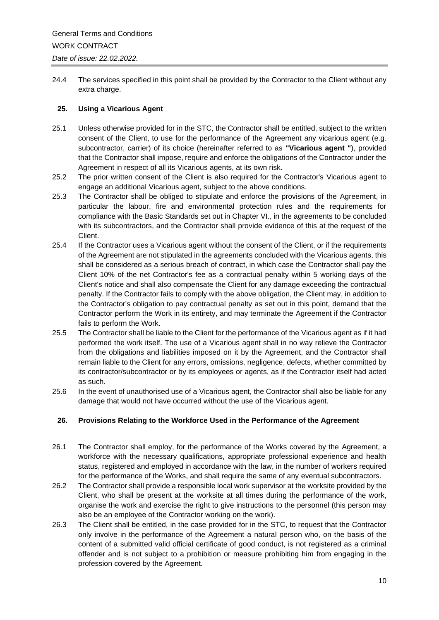24.4 The services specified in this point shall be provided by the Contractor to the Client without any extra charge.

## **25. Using a Vicarious Agent**

- 25.1 Unless otherwise provided for in the STC, the Contractor shall be entitled, subject to the written consent of the Client, to use for the performance of the Agreement any vicarious agent (e.g. subcontractor, carrier) of its choice (hereinafter referred to as **"Vicarious agent "**), provided that the Contractor shall impose, require and enforce the obligations of the Contractor under the Agreement in respect of all its Vicarious agents, at its own risk.
- 25.2 The prior written consent of the Client is also required for the Contractor's Vicarious agent to engage an additional Vicarious agent, subject to the above conditions.
- 25.3 The Contractor shall be obliged to stipulate and enforce the provisions of the Agreement, in particular the labour, fire and environmental protection rules and the requirements for compliance with the Basic Standards set out in Chapter VI., in the agreements to be concluded with its subcontractors, and the Contractor shall provide evidence of this at the request of the Client.
- 25.4 If the Contractor uses a Vicarious agent without the consent of the Client, or if the requirements of the Agreement are not stipulated in the agreements concluded with the Vicarious agents, this shall be considered as a serious breach of contract, in which case the Contractor shall pay the Client 10% of the net Contractor's fee as a contractual penalty within 5 working days of the Client's notice and shall also compensate the Client for any damage exceeding the contractual penalty. If the Contractor fails to comply with the above obligation, the Client may, in addition to the Contractor's obligation to pay contractual penalty as set out in this point, demand that the Contractor perform the Work in its entirety, and may terminate the Agreement if the Contractor fails to perform the Work.
- 25.5 The Contractor shall be liable to the Client for the performance of the Vicarious agent as if it had performed the work itself. The use of a Vicarious agent shall in no way relieve the Contractor from the obligations and liabilities imposed on it by the Agreement, and the Contractor shall remain liable to the Client for any errors, omissions, negligence, defects, whether committed by its contractor/subcontractor or by its employees or agents, as if the Contractor itself had acted as such.
- 25.6 In the event of unauthorised use of a Vicarious agent, the Contractor shall also be liable for any damage that would not have occurred without the use of the Vicarious agent.

## **26. Provisions Relating to the Workforce Used in the Performance of the Agreement**

- 26.1 The Contractor shall employ, for the performance of the Works covered by the Agreement, a workforce with the necessary qualifications, appropriate professional experience and health status, registered and employed in accordance with the law, in the number of workers required for the performance of the Works, and shall require the same of any eventual subcontractors.
- 26.2 The Contractor shall provide a responsible local work supervisor at the worksite provided by the Client, who shall be present at the worksite at all times during the performance of the work, organise the work and exercise the right to give instructions to the personnel (this person may also be an employee of the Contractor working on the work).
- 26.3 The Client shall be entitled, in the case provided for in the STC, to request that the Contractor only involve in the performance of the Agreement a natural person who, on the basis of the content of a submitted valid official certificate of good conduct, is not registered as a criminal offender and is not subject to a prohibition or measure prohibiting him from engaging in the profession covered by the Agreement.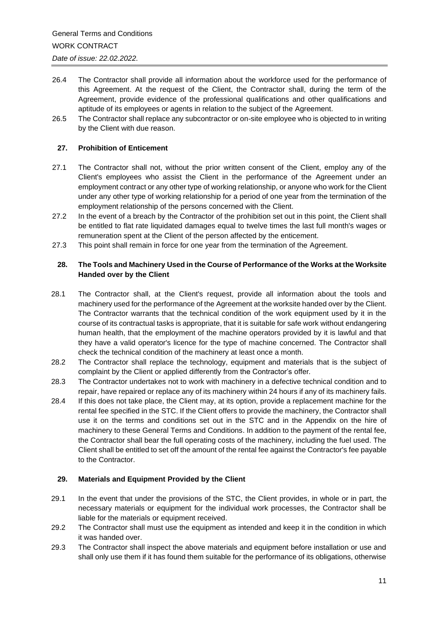- 26.4 The Contractor shall provide all information about the workforce used for the performance of this Agreement. At the request of the Client, the Contractor shall, during the term of the Agreement, provide evidence of the professional qualifications and other qualifications and aptitude of its employees or agents in relation to the subject of the Agreement.
- 26.5 The Contractor shall replace any subcontractor or on-site employee who is objected to in writing by the Client with due reason.

## **27. Prohibition of Enticement**

- 27.1 The Contractor shall not, without the prior written consent of the Client, employ any of the Client's employees who assist the Client in the performance of the Agreement under an employment contract or any other type of working relationship, or anyone who work for the Client under any other type of working relationship for a period of one year from the termination of the employment relationship of the persons concerned with the Client.
- 27.2 In the event of a breach by the Contractor of the prohibition set out in this point, the Client shall be entitled to flat rate liquidated damages equal to twelve times the last full month's wages or remuneration spent at the Client of the person affected by the enticement.
- 27.3 This point shall remain in force for one year from the termination of the Agreement.

## **28. The Tools and Machinery Used in the Course of Performance of the Works at the Worksite Handed over by the Client**

- 28.1 The Contractor shall, at the Client's request, provide all information about the tools and machinery used for the performance of the Agreement at the worksite handed over by the Client. The Contractor warrants that the technical condition of the work equipment used by it in the course of its contractual tasks is appropriate, that it is suitable for safe work without endangering human health, that the employment of the machine operators provided by it is lawful and that they have a valid operator's licence for the type of machine concerned. The Contractor shall check the technical condition of the machinery at least once a month.
- 28.2 The Contractor shall replace the technology, equipment and materials that is the subject of complaint by the Client or applied differently from the Contractor's offer*.*
- 28.3 The Contractor undertakes not to work with machinery in a defective technical condition and to repair, have repaired or replace any of its machinery within 24 hours if any of its machinery fails.
- 28.4 If this does not take place, the Client may, at its option, provide a replacement machine for the rental fee specified in the STC. If the Client offers to provide the machinery, the Contractor shall use it on the terms and conditions set out in the STC and in the Appendix on the hire of machinery to these General Terms and Conditions. In addition to the payment of the rental fee, the Contractor shall bear the full operating costs of the machinery, including the fuel used. The Client shall be entitled to set off the amount of the rental fee against the Contractor's fee payable to the Contractor.

## **29. Materials and Equipment Provided by the Client**

- 29.1 In the event that under the provisions of the STC, the Client provides, in whole or in part, the necessary materials or equipment for the individual work processes, the Contractor shall be liable for the materials or equipment received.
- 29.2 The Contractor shall must use the equipment as intended and keep it in the condition in which it was handed over.
- 29.3 The Contractor shall inspect the above materials and equipment before installation or use and shall only use them if it has found them suitable for the performance of its obligations, otherwise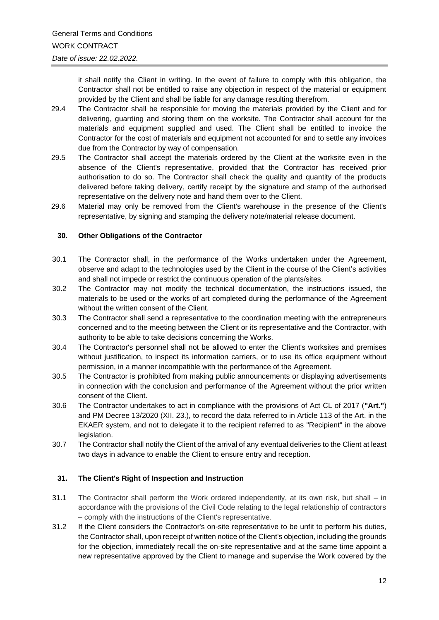it shall notify the Client in writing. In the event of failure to comply with this obligation, the Contractor shall not be entitled to raise any objection in respect of the material or equipment provided by the Client and shall be liable for any damage resulting therefrom.

- 29.4 The Contractor shall be responsible for moving the materials provided by the Client and for delivering, guarding and storing them on the worksite. The Contractor shall account for the materials and equipment supplied and used. The Client shall be entitled to invoice the Contractor for the cost of materials and equipment not accounted for and to settle any invoices due from the Contractor by way of compensation.
- 29.5 The Contractor shall accept the materials ordered by the Client at the worksite even in the absence of the Client's representative, provided that the Contractor has received prior authorisation to do so. The Contractor shall check the quality and quantity of the products delivered before taking delivery, certify receipt by the signature and stamp of the authorised representative on the delivery note and hand them over to the Client.
- 29.6 Material may only be removed from the Client's warehouse in the presence of the Client's representative, by signing and stamping the delivery note/material release document.

## **30. Other Obligations of the Contractor**

- 30.1 The Contractor shall, in the performance of the Works undertaken under the Agreement, observe and adapt to the technologies used by the Client in the course of the Client's activities and shall not impede or restrict the continuous operation of the plants/sites.
- 30.2 The Contractor may not modify the technical documentation, the instructions issued, the materials to be used or the works of art completed during the performance of the Agreement without the written consent of the Client.
- 30.3 The Contractor shall send a representative to the coordination meeting with the entrepreneurs concerned and to the meeting between the Client or its representative and the Contractor, with authority to be able to take decisions concerning the Works.
- 30.4 The Contractor's personnel shall not be allowed to enter the Client's worksites and premises without justification, to inspect its information carriers, or to use its office equipment without permission, in a manner incompatible with the performance of the Agreement.
- 30.5 The Contractor is prohibited from making public announcements or displaying advertisements in connection with the conclusion and performance of the Agreement without the prior written consent of the Client.
- 30.6 The Contractor undertakes to act in compliance with the provisions of Act CL of 2017 (**"Art."**) and PM Decree 13/2020 (XII. 23.), to record the data referred to in Article 113 of the Art. in the EKAER system, and not to delegate it to the recipient referred to as "Recipient" in the above legislation.
- 30.7 The Contractor shall notify the Client of the arrival of any eventual deliveries to the Client at least two days in advance to enable the Client to ensure entry and reception.

## **31. The Client's Right of Inspection and Instruction**

- 31.1 The Contractor shall perform the Work ordered independently, at its own risk, but shall in accordance with the provisions of the Civil Code relating to the legal relationship of contractors – comply with the instructions of the Client's representative.
- 31.2 If the Client considers the Contractor's on-site representative to be unfit to perform his duties, the Contractor shall, upon receipt of written notice of the Client's objection, including the grounds for the objection, immediately recall the on-site representative and at the same time appoint a new representative approved by the Client to manage and supervise the Work covered by the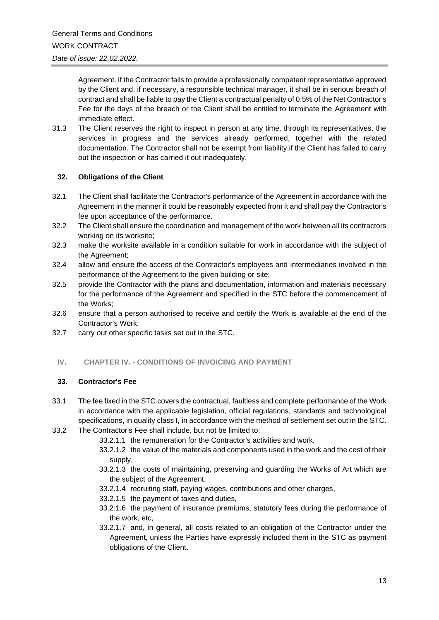Agreement. If the Contractor fails to provide a professionally competent representative approved by the Client and, if necessary, a responsible technical manager, it shall be in serious breach of contract and shall be liable to pay the Client a contractual penalty of 0.5% of the Net Contractor's Fee for the days of the breach or the Client shall be entitled to terminate the Agreement with immediate effect.

31.3 The Client reserves the right to inspect in person at any time, through its representatives, the services in progress and the services already performed, together with the related documentation. The Contractor shall not be exempt from liability if the Client has failed to carry out the inspection or has carried it out inadequately.

## **32. Obligations of the Client**

- 32.1 The Client shall facilitate the Contractor's performance of the Agreement in accordance with the Agreement in the manner it could be reasonably expected from it and shall pay the Contractor's fee upon acceptance of the performance.
- 32.2 The Client shall ensure the coordination and management of the work between all its contractors working on its worksite;
- 32.3 make the worksite available in a condition suitable for work in accordance with the subject of the Agreement;
- 32.4 allow and ensure the access of the Contractor's employees and intermediaries involved in the performance of the Agreement to the given building or site;
- 32.5 provide the Contractor with the plans and documentation, information and materials necessary for the performance of the Agreement and specified in the STC before the commencement of the Works;
- 32.6 ensure that a person authorised to receive and certify the Work is available at the end of the Contractor's Work;
- 32.7 carry out other specific tasks set out in the STC.

## **IV. CHAPTER IV. - CONDITIONS OF INVOICING AND PAYMENT**

## **33. Contractor's Fee**

- 33.1 The fee fixed in the STC covers the contractual, faultless and complete performance of the Work in accordance with the applicable legislation, official regulations, standards and technological specifications, in quality class I, in accordance with the method of settlement set out in the STC.
- 33.2 The Contractor's Fee shall include, but not be limited to:
	- 33.2.1.1 the remuneration for the Contractor's activities and work,
	- 33.2.1.2 the value of the materials and components used in the work and the cost of their supply,
	- 33.2.1.3 the costs of maintaining, preserving and guarding the Works of Art which are the subject of the Agreement,
	- 33.2.1.4 recruiting staff, paying wages, contributions and other charges,
	- 33.2.1.5 the payment of taxes and duties,
	- 33.2.1.6 the payment of insurance premiums, statutory fees during the performance of the work, etc,
	- 33.2.1.7 and, in general, all costs related to an obligation of the Contractor under the Agreement, unless the Parties have expressly included them in the STC as payment obligations of the Client.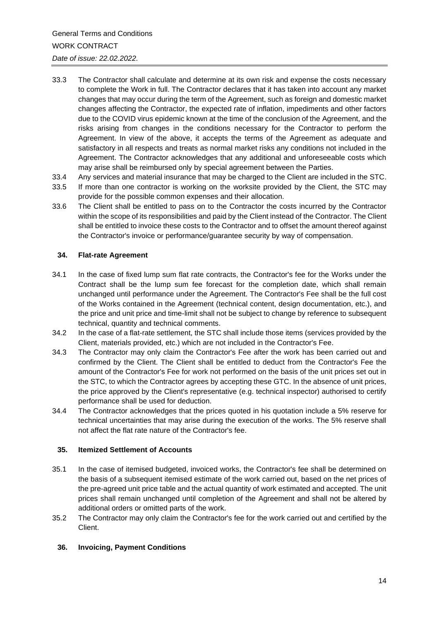- 33.3 The Contractor shall calculate and determine at its own risk and expense the costs necessary to complete the Work in full. The Contractor declares that it has taken into account any market changes that may occur during the term of the Agreement, such as foreign and domestic market changes affecting the Contractor, the expected rate of inflation, impediments and other factors due to the COVID virus epidemic known at the time of the conclusion of the Agreement, and the risks arising from changes in the conditions necessary for the Contractor to perform the Agreement. In view of the above, it accepts the terms of the Agreement as adequate and satisfactory in all respects and treats as normal market risks any conditions not included in the Agreement. The Contractor acknowledges that any additional and unforeseeable costs which may arise shall be reimbursed only by special agreement between the Parties.
- 33.4 Any services and material insurance that may be charged to the Client are included in the STC.
- 33.5 If more than one contractor is working on the worksite provided by the Client, the STC may provide for the possible common expenses and their allocation.
- 33.6 The Client shall be entitled to pass on to the Contractor the costs incurred by the Contractor within the scope of its responsibilities and paid by the Client instead of the Contractor. The Client shall be entitled to invoice these costs to the Contractor and to offset the amount thereof against the Contractor's invoice or performance/guarantee security by way of compensation.

## **34. Flat-rate Agreement**

- 34.1 In the case of fixed lump sum flat rate contracts, the Contractor's fee for the Works under the Contract shall be the lump sum fee forecast for the completion date, which shall remain unchanged until performance under the Agreement. The Contractor's Fee shall be the full cost of the Works contained in the Agreement (technical content, design documentation, etc.), and the price and unit price and time-limit shall not be subject to change by reference to subsequent technical, quantity and technical comments.
- 34.2 In the case of a flat-rate settlement, the STC shall include those items (services provided by the Client, materials provided, etc.) which are not included in the Contractor's Fee.
- 34.3 The Contractor may only claim the Contractor's Fee after the work has been carried out and confirmed by the Client. The Client shall be entitled to deduct from the Contractor's Fee the amount of the Contractor's Fee for work not performed on the basis of the unit prices set out in the STC, to which the Contractor agrees by accepting these GTC. In the absence of unit prices, the price approved by the Client's representative (e.g. technical inspector) authorised to certify performance shall be used for deduction.
- 34.4 The Contractor acknowledges that the prices quoted in his quotation include a 5% reserve for technical uncertainties that may arise during the execution of the works. The 5% reserve shall not affect the flat rate nature of the Contractor's fee.

#### **35. Itemized Settlement of Accounts**

- 35.1 In the case of itemised budgeted, invoiced works, the Contractor's fee shall be determined on the basis of a subsequent itemised estimate of the work carried out, based on the net prices of the pre-agreed unit price table and the actual quantity of work estimated and accepted. The unit prices shall remain unchanged until completion of the Agreement and shall not be altered by additional orders or omitted parts of the work.
- 35.2 The Contractor may only claim the Contractor's fee for the work carried out and certified by the Client.

## **36. Invoicing, Payment Conditions**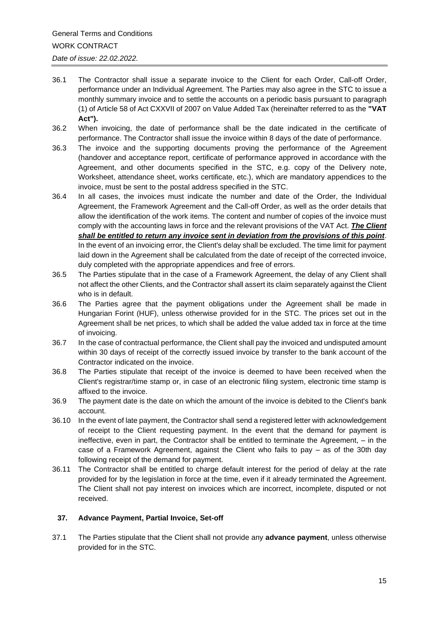- 36.1 The Contractor shall issue a separate invoice to the Client for each Order, Call-off Order, performance under an Individual Agreement. The Parties may also agree in the STC to issue a monthly summary invoice and to settle the accounts on a periodic basis pursuant to paragraph (1) of Article 58 of Act CXXVII of 2007 on Value Added Tax (hereinafter referred to as the **"VAT Act").**
- 36.2 When invoicing, the date of performance shall be the date indicated in the certificate of performance. The Contractor shall issue the invoice within 8 days of the date of performance.
- 36.3 The invoice and the supporting documents proving the performance of the Agreement (handover and acceptance report, certificate of performance approved in accordance with the Agreement, and other documents specified in the STC, e.g. copy of the Delivery note, Worksheet, attendance sheet, works certificate, etc.), which are mandatory appendices to the invoice, must be sent to the postal address specified in the STC.
- 36.4 In all cases, the invoices must indicate the number and date of the Order, the Individual Agreement, the Framework Agreement and the Call-off Order, as well as the order details that allow the identification of the work items. The content and number of copies of the invoice must comply with the accounting laws in force and the relevant provisions of the VAT Act. *The Client shall be entitled to return any invoice sent in deviation from the provisions of this point*. In the event of an invoicing error, the Client's delay shall be excluded. The time limit for payment laid down in the Agreement shall be calculated from the date of receipt of the corrected invoice, duly completed with the appropriate appendices and free of errors.
- 36.5 The Parties stipulate that in the case of a Framework Agreement, the delay of any Client shall not affect the other Clients, and the Contractor shall assert its claim separately against the Client who is in default.
- 36.6 The Parties agree that the payment obligations under the Agreement shall be made in Hungarian Forint (HUF), unless otherwise provided for in the STC. The prices set out in the Agreement shall be net prices, to which shall be added the value added tax in force at the time of invoicing.
- 36.7 In the case of contractual performance, the Client shall pay the invoiced and undisputed amount within 30 days of receipt of the correctly issued invoice by transfer to the bank account of the Contractor indicated on the invoice.
- 36.8 The Parties stipulate that receipt of the invoice is deemed to have been received when the Client's registrar/time stamp or, in case of an electronic filing system, electronic time stamp is affixed to the invoice.
- 36.9 The payment date is the date on which the amount of the invoice is debited to the Client's bank account.
- 36.10 In the event of late payment, the Contractor shall send a registered letter with acknowledgement of receipt to the Client requesting payment. In the event that the demand for payment is ineffective, even in part, the Contractor shall be entitled to terminate the Agreement, – in the case of a Framework Agreement, against the Client who fails to pay – as of the 30th day following receipt of the demand for payment.
- 36.11 The Contractor shall be entitled to charge default interest for the period of delay at the rate provided for by the legislation in force at the time, even if it already terminated the Agreement. The Client shall not pay interest on invoices which are incorrect, incomplete, disputed or not received.

## **37. Advance Payment, Partial Invoice, Set-off**

37.1 The Parties stipulate that the Client shall not provide any **advance payment**, unless otherwise provided for in the STC.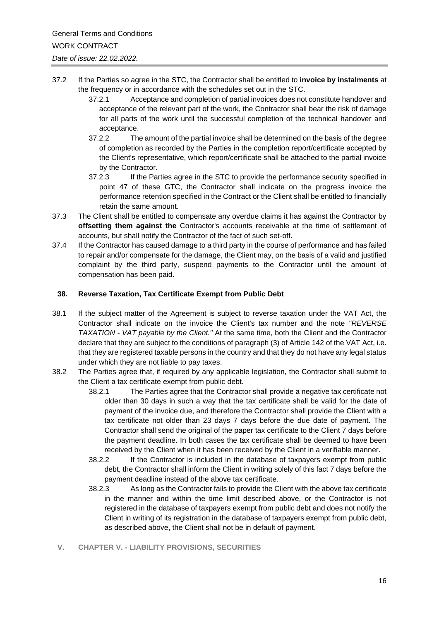- 37.2 If the Parties so agree in the STC, the Contractor shall be entitled to **invoice by instalments** at the frequency or in accordance with the schedules set out in the STC.
	- 37.2.1 Acceptance and completion of partial invoices does not constitute handover and acceptance of the relevant part of the work, the Contractor shall bear the risk of damage for all parts of the work until the successful completion of the technical handover and acceptance.
	- 37.2.2 The amount of the partial invoice shall be determined on the basis of the degree of completion as recorded by the Parties in the completion report/certificate accepted by the Client's representative, which report/certificate shall be attached to the partial invoice by the Contractor.
	- 37.2.3 If the Parties agree in the STC to provide the performance security specified in point 47 of these GTC, the Contractor shall indicate on the progress invoice the performance retention specified in the Contract or the Client shall be entitled to financially retain the same amount.
- 37.3 The Client shall be entitled to compensate any overdue claims it has against the Contractor by **offsetting them against the** Contractor's accounts receivable at the time of settlement of accounts, but shall notify the Contractor of the fact of such set-off.
- 37.4 If the Contractor has caused damage to a third party in the course of performance and has failed to repair and/or compensate for the damage, the Client may, on the basis of a valid and justified complaint by the third party, suspend payments to the Contractor until the amount of compensation has been paid.

## **38. Reverse Taxation, Tax Certificate Exempt from Public Debt**

- 38.1 If the subject matter of the Agreement is subject to reverse taxation under the VAT Act, the Contractor shall indicate on the invoice the Client's tax number and the note *"REVERSE TAXATION - VAT payable by the Client."* At the same time, both the Client and the Contractor declare that they are subject to the conditions of paragraph (3) of Article 142 of the VAT Act, i.e. that they are registered taxable persons in the country and that they do not have any legal status under which they are not liable to pay taxes.
- 38.2 The Parties agree that, if required by any applicable legislation, the Contractor shall submit to the Client a tax certificate exempt from public debt.
	- 38.2.1 The Parties agree that the Contractor shall provide a negative tax certificate not older than 30 days in such a way that the tax certificate shall be valid for the date of payment of the invoice due, and therefore the Contractor shall provide the Client with a tax certificate not older than 23 days 7 days before the due date of payment. The Contractor shall send the original of the paper tax certificate to the Client 7 days before the payment deadline. In both cases the tax certificate shall be deemed to have been received by the Client when it has been received by the Client in a verifiable manner.
	- 38.2.2 If the Contractor is included in the database of taxpayers exempt from public debt, the Contractor shall inform the Client in writing solely of this fact 7 days before the payment deadline instead of the above tax certificate.
	- 38.2.3 As long as the Contractor fails to provide the Client with the above tax certificate in the manner and within the time limit described above, or the Contractor is not registered in the database of taxpayers exempt from public debt and does not notify the Client in writing of its registration in the database of taxpayers exempt from public debt, as described above, the Client shall not be in default of payment.
	- **V. CHAPTER V. - LIABILITY PROVISIONS, SECURITIES**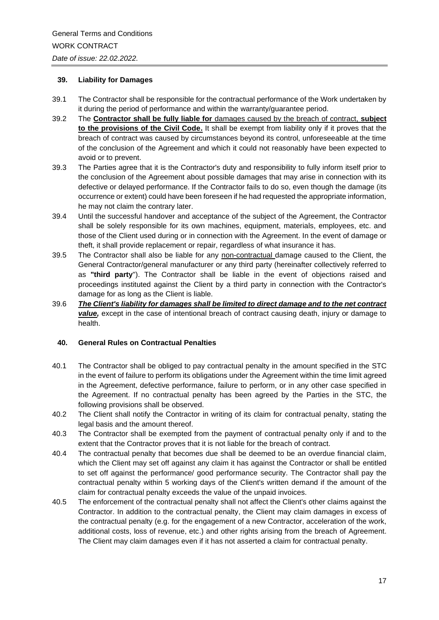## **39. Liability for Damages**

- 39.1 The Contractor shall be responsible for the contractual performance of the Work undertaken by it during the period of performance and within the warranty/guarantee period.
- 39.2 The **Contractor shall be fully liable for** damages caused by the breach of contract, **subject to the provisions of the Civil Code.** It shall be exempt from liability only if it proves that the breach of contract was caused by circumstances beyond its control, unforeseeable at the time of the conclusion of the Agreement and which it could not reasonably have been expected to avoid or to prevent.
- 39.3 The Parties agree that it is the Contractor's duty and responsibility to fully inform itself prior to the conclusion of the Agreement about possible damages that may arise in connection with its defective or delayed performance. If the Contractor fails to do so, even though the damage (its occurrence or extent) could have been foreseen if he had requested the appropriate information, he may not claim the contrary later.
- 39.4 Until the successful handover and acceptance of the subject of the Agreement, the Contractor shall be solely responsible for its own machines, equipment, materials, employees, etc. and those of the Client used during or in connection with the Agreement. In the event of damage or theft, it shall provide replacement or repair, regardless of what insurance it has.
- 39.5 The Contractor shall also be liable for any non-contractual damage caused to the Client, the General Contractor/general manufacturer or any third party (hereinafter collectively referred to as **"third party**"). The Contractor shall be liable in the event of objections raised and proceedings instituted against the Client by a third party in connection with the Contractor's damage for as long as the Client is liable.
- 39.6 *The Client's liability for damages shall be limited to direct damage and to the net contract*  value, except in the case of intentional breach of contract causing death, injury or damage to health.

## **40. General Rules on Contractual Penalties**

- 40.1 The Contractor shall be obliged to pay contractual penalty in the amount specified in the STC in the event of failure to perform its obligations under the Agreement within the time limit agreed in the Agreement, defective performance, failure to perform, or in any other case specified in the Agreement. If no contractual penalty has been agreed by the Parties in the STC, the following provisions shall be observed.
- 40.2 The Client shall notify the Contractor in writing of its claim for contractual penalty, stating the legal basis and the amount thereof.
- 40.3 The Contractor shall be exempted from the payment of contractual penalty only if and to the extent that the Contractor proves that it is not liable for the breach of contract.
- 40.4 The contractual penalty that becomes due shall be deemed to be an overdue financial claim, which the Client may set off against any claim it has against the Contractor or shall be entitled to set off against the performance/ good performance security. The Contractor shall pay the contractual penalty within 5 working days of the Client's written demand if the amount of the claim for contractual penalty exceeds the value of the unpaid invoices.
- 40.5 The enforcement of the contractual penalty shall not affect the Client's other claims against the Contractor. In addition to the contractual penalty, the Client may claim damages in excess of the contractual penalty (e.g. for the engagement of a new Contractor, acceleration of the work, additional costs, loss of revenue, etc.) and other rights arising from the breach of Agreement. The Client may claim damages even if it has not asserted a claim for contractual penalty.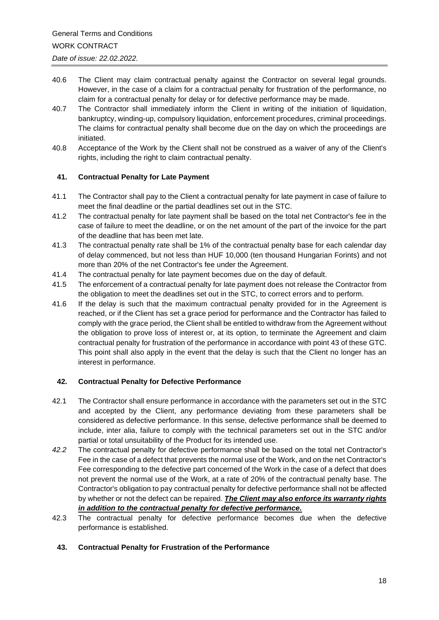- 40.6 The Client may claim contractual penalty against the Contractor on several legal grounds. However, in the case of a claim for a contractual penalty for frustration of the performance, no claim for a contractual penalty for delay or for defective performance may be made.
- 40.7 The Contractor shall immediately inform the Client in writing of the initiation of liquidation, bankruptcy, winding-up, compulsory liquidation, enforcement procedures, criminal proceedings. The claims for contractual penalty shall become due on the day on which the proceedings are initiated.
- 40.8 Acceptance of the Work by the Client shall not be construed as a waiver of any of the Client's rights, including the right to claim contractual penalty.

## **41. Contractual Penalty for Late Payment**

- 41.1 The Contractor shall pay to the Client a contractual penalty for late payment in case of failure to meet the final deadline or the partial deadlines set out in the STC.
- 41.2 The contractual penalty for late payment shall be based on the total net Contractor's fee in the case of failure to meet the deadline, or on the net amount of the part of the invoice for the part of the deadline that has been met late.
- 41.3 The contractual penalty rate shall be 1% of the contractual penalty base for each calendar day of delay commenced, but not less than HUF 10,000 (ten thousand Hungarian Forints) and not more than 20% of the net Contractor's fee under the Agreement.
- 41.4 The contractual penalty for late payment becomes due on the day of default.
- 41.5 The enforcement of a contractual penalty for late payment does not release the Contractor from the obligation to meet the deadlines set out in the STC, to correct errors and to perform.
- 41.6 If the delay is such that the maximum contractual penalty provided for in the Agreement is reached, or if the Client has set a grace period for performance and the Contractor has failed to comply with the grace period, the Client shall be entitled to withdraw from the Agreement without the obligation to prove loss of interest or, at its option, to terminate the Agreement and claim contractual penalty for frustration of the performance in accordance with point 43 of these GTC. This point shall also apply in the event that the delay is such that the Client no longer has an interest in performance.

# **42. Contractual Penalty for Defective Performance**

- 42.1 The Contractor shall ensure performance in accordance with the parameters set out in the STC and accepted by the Client, any performance deviating from these parameters shall be considered as defective performance. In this sense, defective performance shall be deemed to include, inter alia, failure to comply with the technical parameters set out in the STC and/or partial or total unsuitability of the Product for its intended use.
- *42.2* The contractual penalty for defective performance shall be based on the total net Contractor's Fee in the case of a defect that prevents the normal use of the Work, and on the net Contractor's Fee corresponding to the defective part concerned of the Work in the case of a defect that does not prevent the normal use of the Work, at a rate of 20% of the contractual penalty base. The Contractor's obligation to pay contractual penalty for defective performance shall not be affected by whether or not the defect can be repaired. *The Client may also enforce its warranty rights in addition to the contractual penalty for defective performance.*
- 42.3 The contractual penalty for defective performance becomes due when the defective performance is established.
- **43. Contractual Penalty for Frustration of the Performance**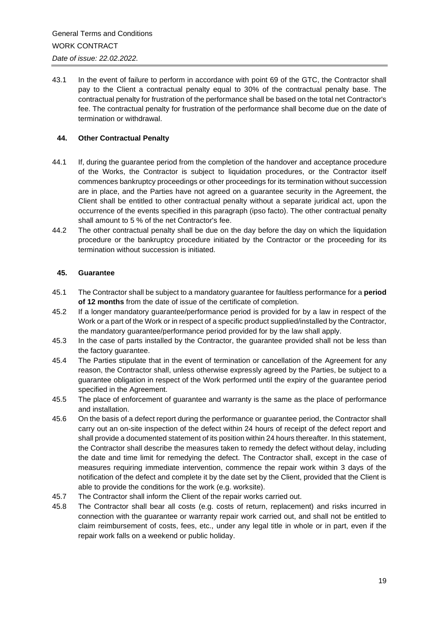43.1 In the event of failure to perform in accordance with point 69 of the GTC, the Contractor shall pay to the Client a contractual penalty equal to 30% of the contractual penalty base. The contractual penalty for frustration of the performance shall be based on the total net Contractor's fee. The contractual penalty for frustration of the performance shall become due on the date of termination or withdrawal.

## **44. Other Contractual Penalty**

- 44.1 If, during the guarantee period from the completion of the handover and acceptance procedure of the Works, the Contractor is subject to liquidation procedures, or the Contractor itself commences bankruptcy proceedings or other proceedings for its termination without succession are in place, and the Parties have not agreed on a guarantee security in the Agreement, the Client shall be entitled to other contractual penalty without a separate juridical act, upon the occurrence of the events specified in this paragraph (ipso facto). The other contractual penalty shall amount to 5 % of the net Contractor's fee.
- 44.2 The other contractual penalty shall be due on the day before the day on which the liquidation procedure or the bankruptcy procedure initiated by the Contractor or the proceeding for its termination without succession is initiated.

## **45. Guarantee**

- 45.1 The Contractor shall be subject to a mandatory guarantee for faultless performance for a **period of 12 months** from the date of issue of the certificate of completion.
- 45.2 If a longer mandatory guarantee/performance period is provided for by a law in respect of the Work or a part of the Work or in respect of a specific product supplied/installed by the Contractor, the mandatory guarantee/performance period provided for by the law shall apply.
- 45.3 In the case of parts installed by the Contractor, the guarantee provided shall not be less than the factory guarantee.
- 45.4 The Parties stipulate that in the event of termination or cancellation of the Agreement for any reason, the Contractor shall, unless otherwise expressly agreed by the Parties, be subject to a guarantee obligation in respect of the Work performed until the expiry of the guarantee period specified in the Agreement.
- 45.5 The place of enforcement of guarantee and warranty is the same as the place of performance and installation.
- 45.6 On the basis of a defect report during the performance or guarantee period, the Contractor shall carry out an on-site inspection of the defect within 24 hours of receipt of the defect report and shall provide a documented statement of its position within 24 hours thereafter. In this statement, the Contractor shall describe the measures taken to remedy the defect without delay, including the date and time limit for remedying the defect. The Contractor shall, except in the case of measures requiring immediate intervention, commence the repair work within 3 days of the notification of the defect and complete it by the date set by the Client, provided that the Client is able to provide the conditions for the work (e.g. worksite).
- 45.7 The Contractor shall inform the Client of the repair works carried out.
- 45.8 The Contractor shall bear all costs (e.g. costs of return, replacement) and risks incurred in connection with the guarantee or warranty repair work carried out, and shall not be entitled to claim reimbursement of costs, fees, etc., under any legal title in whole or in part, even if the repair work falls on a weekend or public holiday.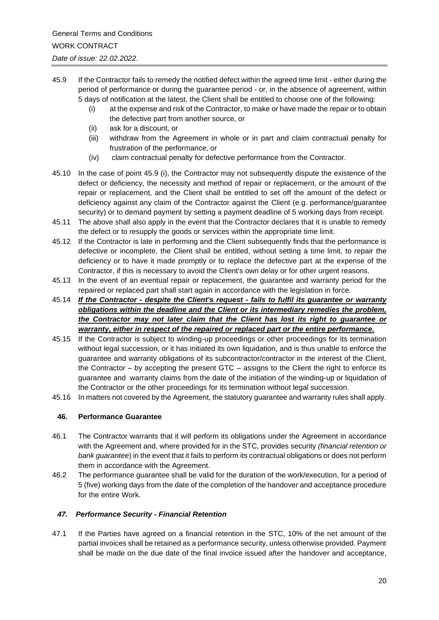- 45.9 If the Contractor fails to remedy the notified defect within the agreed time limit either during the period of performance or during the guarantee period - or, in the absence of agreement, within 5 days of notification at the latest, the Client shall be entitled to choose one of the following:
	- (i) at the expense and risk of the Contractor, to make or have made the repair or to obtain the defective part from another source, or
	- (ii) ask for a discount, or
	- (iii) withdraw from the Agreement in whole or in part and claim contractual penalty for frustration of the performance, or
	- (iv) claim contractual penalty for defective performance from the Contractor.
- 45.10 In the case of point 45.9 (i), the Contractor may not subsequently dispute the existence of the defect or deficiency, the necessity and method of repair or replacement, or the amount of the repair or replacement, and the Client shall be entitled to set off the amount of the defect or deficiency against any claim of the Contractor against the Client (e.g. performance/guarantee security) or to demand payment by setting a payment deadline of 5 working days from receipt.
- 45.11 The above shall also apply in the event that the Contractor declares that it is unable to remedy the defect or to resupply the goods or services within the appropriate time limit.
- 45.12 If the Contractor is late in performing and the Client subsequently finds that the performance is defective or incomplete, the Client shall be entitled, without setting a time limit, to repair the deficiency or to have it made promptly or to replace the defective part at the expense of the Contractor, if this is necessary to avoid the Client's own delay or for other urgent reasons.
- 45.13 In the event of an eventual repair or replacement, the guarantee and warranty period for the repaired or replaced part shall start again in accordance with the legislation in force.
- 45.14 *If the Contractor - despite the Client's request - fails to fulfil its guarantee or warranty obligations within the deadline and the Client or its intermediary remedies the problem, the Contractor may not later claim that the Client has lost its right to guarantee or warranty, either in respect of the repaired or replaced part or the entire performance.*
- 45.15 If the Contractor is subject to winding-up proceedings or other proceedings for its termination without legal succession, or it has initiated its own liquidation, and is thus unable to enforce the guarantee and warranty obligations of its subcontractor/contractor in the interest of the Client, the Contractor – by accepting the present GTC – assigns to the Client the right to enforce its guarantee and warranty claims from the date of the initiation of the winding-up or liquidation of the Contractor or the other proceedings for its termination without legal succession.
- 45.16 In matters not covered by the Agreement, the statutory guarantee and warranty rules shall apply.

## **46. Performance Guarantee**

- 46.1 The Contractor warrants that it will perform its obligations under the Agreement in accordance with the Agreement and, where provided for in the STC, provides security *(financial retention or bank guarantee*) in the event that it fails to perform its contractual obligations or does not perform them in accordance with the Agreement.
- 46.2 The performance guarantee shall be valid for the duration of the work/execution, for a period of 5 (five) working days from the date of the completion of the handover and acceptance procedure for the entire Work*.*

## *47. Performance Security - Financial Retention*

47.1 If the Parties have agreed on a financial retention in the STC, 10% of the net amount of the partial invoices shall be retained as a performance security, unless otherwise provided. Payment shall be made on the due date of the final invoice issued after the handover and acceptance,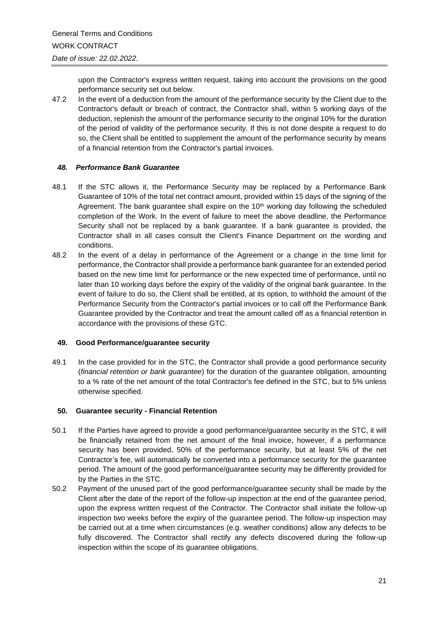upon the Contractor's express written request, taking into account the provisions on the good performance security set out below.

47.2 In the event of a deduction from the amount of the performance security by the Client due to the Contractor's default or breach of contract, the Contractor shall, within 5 working days of the deduction, replenish the amount of the performance security to the original 10% for the duration of the period of validity of the performance security. If this is not done despite a request to do so, the Client shall be entitled to supplement the amount of the performance security by means of a financial retention from the Contractor's partial invoices.

## *48. Performance Bank Guarantee*

- 48.1 If the STC allows it, the Performance Security may be replaced by a Performance Bank Guarantee of 10% of the total net contract amount, provided within 15 days of the signing of the Agreement. The bank guarantee shall expire on the 10<sup>th</sup> working day following the scheduled completion of the Work. In the event of failure to meet the above deadline, the Performance Security shall not be replaced by a bank guarantee. If a bank guarantee is provided, the Contractor shall in all cases consult the Client's Finance Department on the wording and conditions.
- 48.2 In the event of a delay in performance of the Agreement or a change in the time limit for performance, the Contractor shall provide a performance bank guarantee for an extended period based on the new time limit for performance or the new expected time of performance, until no later than 10 working days before the expiry of the validity of the original bank guarantee. In the event of failure to do so, the Client shall be entitled, at its option, to withhold the amount of the Performance Security from the Contractor's partial invoices or to call off the Performance Bank Guarantee provided by the Contractor and treat the amount called off as a financial retention in accordance with the provisions of these GTC.

## **49. Good Performance/guarantee security**

49.1 In the case provided for in the STC, the Contractor shall provide a good performance security (*financial retention or bank guarantee*) for the duration of the guarantee obligation, amounting to a % rate of the net amount of the total Contractor's fee defined in the STC, but to 5% unless otherwise specified.

## **50. Guarantee security - Financial Retention**

- 50.1 If the Parties have agreed to provide a good performance/guarantee security in the STC, it will be financially retained from the net amount of the final invoice, however, if a performance security has been provided, 50% of the performance security, but at least 5% of the net Contractor's fee, will automatically be converted into a performance security for the guarantee period. The amount of the good performance/guarantee security may be differently provided for by the Parties in the STC.
- 50.2 Payment of the unused part of the good performance/guarantee security shall be made by the Client after the date of the report of the follow-up inspection at the end of the guarantee period, upon the express written request of the Contractor. The Contractor shall initiate the follow-up inspection two weeks before the expiry of the guarantee period. The follow-up inspection may be carried out at a time when circumstances (e.g. weather conditions) allow any defects to be fully discovered. The Contractor shall rectify any defects discovered during the follow-up inspection within the scope of its guarantee obligations.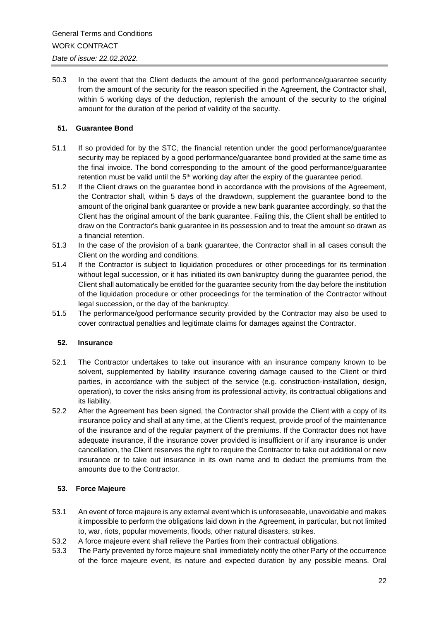50.3 In the event that the Client deducts the amount of the good performance/guarantee security from the amount of the security for the reason specified in the Agreement, the Contractor shall, within 5 working days of the deduction, replenish the amount of the security to the original amount for the duration of the period of validity of the security.

## **51. Guarantee Bond**

- 51.1 If so provided for by the STC, the financial retention under the good performance/guarantee security may be replaced by a good performance/guarantee bond provided at the same time as the final invoice. The bond corresponding to the amount of the good performance/guarantee retention must be valid until the  $5<sup>th</sup>$  working day after the expiry of the guarantee period.
- 51.2 If the Client draws on the guarantee bond in accordance with the provisions of the Agreement, the Contractor shall, within 5 days of the drawdown, supplement the guarantee bond to the amount of the original bank guarantee or provide a new bank guarantee accordingly, so that the Client has the original amount of the bank guarantee. Failing this, the Client shall be entitled to draw on the Contractor's bank guarantee in its possession and to treat the amount so drawn as a financial retention.
- 51.3 In the case of the provision of a bank guarantee, the Contractor shall in all cases consult the Client on the wording and conditions.
- 51.4 If the Contractor is subject to liquidation procedures or other proceedings for its termination without legal succession, or it has initiated its own bankruptcy during the guarantee period, the Client shall automatically be entitled for the guarantee security from the day before the institution of the liquidation procedure or other proceedings for the termination of the Contractor without legal succession, or the day of the bankruptcy.
- 51.5 The performance/good performance security provided by the Contractor may also be used to cover contractual penalties and legitimate claims for damages against the Contractor.

## **52. Insurance**

- 52.1 The Contractor undertakes to take out insurance with an insurance company known to be solvent, supplemented by liability insurance covering damage caused to the Client or third parties, in accordance with the subject of the service (e.g. construction-installation, design, operation), to cover the risks arising from its professional activity, its contractual obligations and its liability.
- 52.2 After the Agreement has been signed, the Contractor shall provide the Client with a copy of its insurance policy and shall at any time, at the Client's request, provide proof of the maintenance of the insurance and of the regular payment of the premiums. If the Contractor does not have adequate insurance, if the insurance cover provided is insufficient or if any insurance is under cancellation, the Client reserves the right to require the Contractor to take out additional or new insurance or to take out insurance in its own name and to deduct the premiums from the amounts due to the Contractor.

# **53. Force Majeure**

- 53.1 An event of force majeure is any external event which is unforeseeable, unavoidable and makes it impossible to perform the obligations laid down in the Agreement, in particular, but not limited to, war, riots, popular movements, floods, other natural disasters, strikes.
- 53.2 A force majeure event shall relieve the Parties from their contractual obligations.
- 53.3 The Party prevented by force majeure shall immediately notify the other Party of the occurrence of the force majeure event, its nature and expected duration by any possible means. Oral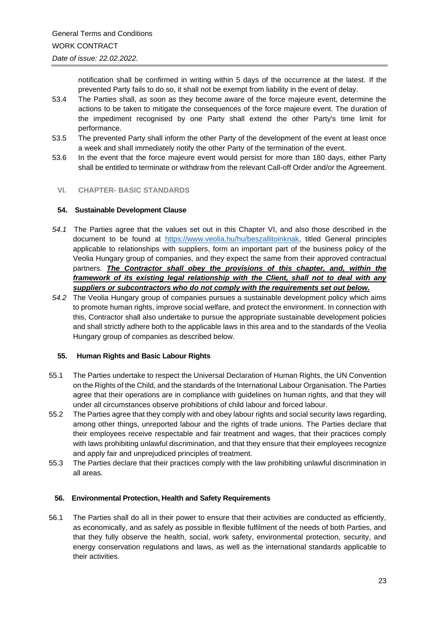notification shall be confirmed in writing within 5 days of the occurrence at the latest. If the prevented Party fails to do so, it shall not be exempt from liability in the event of delay.

- 53.4 The Parties shall, as soon as they become aware of the force majeure event, determine the actions to be taken to mitigate the consequences of the force majeure event. The duration of the impediment recognised by one Party shall extend the other Party's time limit for performance.
- 53.5 The prevented Party shall inform the other Party of the development of the event at least once a week and shall immediately notify the other Party of the termination of the event.
- 53.6 In the event that the force majeure event would persist for more than 180 days, either Party shall be entitled to terminate or withdraw from the relevant Call-off Order and/or the Agreement.

## **VI. CHAPTER- BASIC STANDARDS**

#### **54. Sustainable Development Clause**

- *54.1* The Parties agree that the values set out in this Chapter VI, and also those described in the document to be found at [https://www.veolia.hu/hu/beszallitoinknak,](https://www.veolia.hu/hu/beszallitoinknak) titled General principles applicable to relationships with suppliers, form an important part of the business policy of the Veolia Hungary group of companies, and they expect the same from their approved contractual partners*. The Contractor shall obey the provisions of this chapter, and, within the framework of its existing legal relationship with the Client, shall not to deal with any suppliers or subcontractors who do not comply with the requirements set out below.*
- *54.2* The Veolia Hungary group of companies pursues a sustainable development policy which aims to promote human rights, improve social welfare, and protect the environment. In connection with this, Contractor shall also undertake to pursue the appropriate sustainable development policies and shall strictly adhere both to the applicable laws in this area and to the standards of the Veolia Hungary group of companies as described below.

## **55. Human Rights and Basic Labour Rights**

- 55.1 The Parties undertake to respect the Universal Declaration of Human Rights, the UN Convention on the Rights of the Child, and the standards of the International Labour Organisation. The Parties agree that their operations are in compliance with guidelines on human rights, and that they will under all circumstances observe prohibitions of child labour and forced labour.
- 55.2 The Parties agree that they comply with and obey labour rights and social security laws regarding, among other things, unreported labour and the rights of trade unions. The Parties declare that their employees receive respectable and fair treatment and wages, that their practices comply with laws prohibiting unlawful discrimination, and that they ensure that their employees recognize and apply fair and unprejudiced principles of treatment.
- 55.3 The Parties declare that their practices comply with the law prohibiting unlawful discrimination in all areas.

#### **56. Environmental Protection, Health and Safety Requirements**

56.1 The Parties shall do all in their power to ensure that their activities are conducted as efficiently, as economically, and as safely as possible in flexible fulfilment of the needs of both Parties, and that they fully observe the health, social, work safety, environmental protection, security, and energy conservation regulations and laws, as well as the international standards applicable to their activities.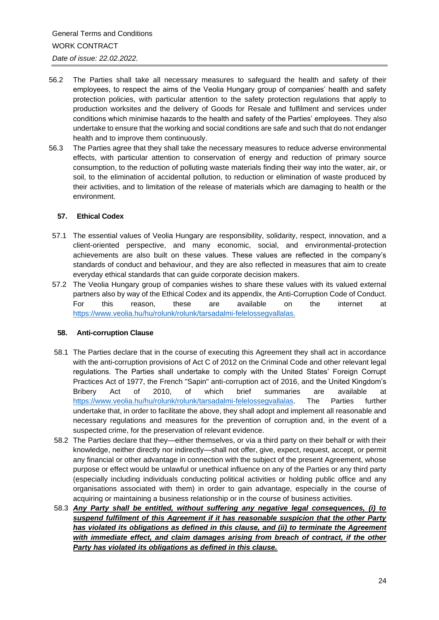- 56.2 The Parties shall take all necessary measures to safeguard the health and safety of their employees, to respect the aims of the Veolia Hungary group of companies' health and safety protection policies, with particular attention to the safety protection regulations that apply to production worksites and the delivery of Goods for Resale and fulfilment and services under conditions which minimise hazards to the health and safety of the Parties' employees. They also undertake to ensure that the working and social conditions are safe and such that do not endanger health and to improve them continuously.
- 56.3 The Parties agree that they shall take the necessary measures to reduce adverse environmental effects, with particular attention to conservation of energy and reduction of primary source consumption, to the reduction of polluting waste materials finding their way into the water, air, or soil, to the elimination of accidental pollution, to reduction or elimination of waste produced by their activities, and to limitation of the release of materials which are damaging to health or the environment.

## **57. Ethical Codex**

- 57.1 The essential values of Veolia Hungary are responsibility, solidarity, respect, innovation, and a client-oriented perspective, and many economic, social, and environmental-protection achievements are also built on these values. These values are reflected in the company's standards of conduct and behaviour, and they are also reflected in measures that aim to create everyday ethical standards that can guide corporate decision makers.
- 57.2 The Veolia Hungary group of companies wishes to share these values with its valued external partners also by way of the Ethical Codex and its appendix, the Anti-Corruption Code of Conduct. For this reason, these are available on the internet at <https://www.veolia.hu/hu/rolunk/rolunk/tarsadalmi-felelossegvallalas.>

## **58. Anti-corruption Clause**

- 58.1 The Parties declare that in the course of executing this Agreement they shall act in accordance with the anti-corruption provisions of Act C of 2012 on the Criminal Code and other relevant legal regulations. The Parties shall undertake to comply with the United States' Foreign Corrupt Practices Act of 1977, the French "Sapin" anti-corruption act of 2016, and the United Kingdom's Bribery Act of 2010, of which brief summaries are available at [https://www.veolia.hu/hu/rolunk/rolunk/tarsadalmi-felelossegvallalas.](https://www.veolia.hu/hu/rolunk/rolunk/tarsadalmi-felelossegvallalas) The Parties further undertake that, in order to facilitate the above, they shall adopt and implement all reasonable and necessary regulations and measures for the prevention of corruption and, in the event of a suspected crime, for the preservation of relevant evidence.
- 58.2 The Parties declare that they—either themselves, or via a third party on their behalf or with their knowledge, neither directly nor indirectly—shall not offer, give, expect, request, accept, or permit any financial or other advantage in connection with the subject of the present Agreement, whose purpose or effect would be unlawful or unethical influence on any of the Parties or any third party (especially including individuals conducting political activities or holding public office and any organisations associated with them) in order to gain advantage, especially in the course of acquiring or maintaining a business relationship or in the course of business activities.
- 58.3 *Any Party shall be entitled, without suffering any negative legal consequences, (i) to suspend fulfilment of this Agreement if it has reasonable suspicion that the other Party has violated its obligations as defined in this clause, and (ii) to terminate the Agreement with immediate effect, and claim damages arising from breach of contract, if the other Party has violated its obligations as defined in this clause.*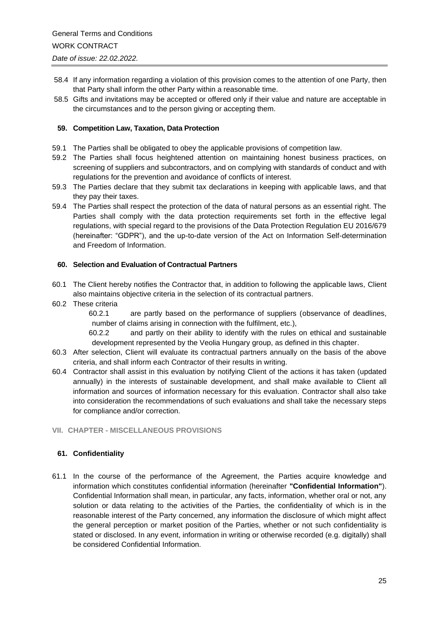- 58.4 If any information regarding a violation of this provision comes to the attention of one Party, then that Party shall inform the other Party within a reasonable time.
- 58.5 Gifts and invitations may be accepted or offered only if their value and nature are acceptable in the circumstances and to the person giving or accepting them.

## **59. Competition Law, Taxation, Data Protection**

- 59.1 The Parties shall be obligated to obey the applicable provisions of competition law.
- 59.2 The Parties shall focus heightened attention on maintaining honest business practices, on screening of suppliers and subcontractors, and on complying with standards of conduct and with regulations for the prevention and avoidance of conflicts of interest.
- 59.3 The Parties declare that they submit tax declarations in keeping with applicable laws, and that they pay their taxes.
- 59.4 The Parties shall respect the protection of the data of natural persons as an essential right. The Parties shall comply with the data protection requirements set forth in the effective legal regulations, with special regard to the provisions of the Data Protection Regulation EU 2016/679 (hereinafter: "GDPR"), and the up-to-date version of the Act on Information Self-determination and Freedom of Information.

## **60. Selection and Evaluation of Contractual Partners**

- 60.1 The Client hereby notifies the Contractor that, in addition to following the applicable laws, Client also maintains objective criteria in the selection of its contractual partners.
- 60.2 These criteria

60.2.1 are partly based on the performance of suppliers (observance of deadlines, number of claims arising in connection with the fulfilment, etc.),

60.2.2 and partly on their ability to identify with the rules on ethical and sustainable development represented by the Veolia Hungary group, as defined in this chapter.

- 60.3 After selection, Client will evaluate its contractual partners annually on the basis of the above criteria, and shall inform each Contractor of their results in writing.
- 60.4 Contractor shall assist in this evaluation by notifying Client of the actions it has taken (updated annually) in the interests of sustainable development, and shall make available to Client all information and sources of information necessary for this evaluation. Contractor shall also take into consideration the recommendations of such evaluations and shall take the necessary steps for compliance and/or correction.
- **VII. CHAPTER - MISCELLANEOUS PROVISIONS**

## **61. Confidentiality**

61.1 In the course of the performance of the Agreement, the Parties acquire knowledge and information which constitutes confidential information (hereinafter **"Confidential Information"**). Confidential Information shall mean, in particular, any facts, information, whether oral or not, any solution or data relating to the activities of the Parties, the confidentiality of which is in the reasonable interest of the Party concerned, any information the disclosure of which might affect the general perception or market position of the Parties, whether or not such confidentiality is stated or disclosed. In any event, information in writing or otherwise recorded (e.g. digitally) shall be considered Confidential Information.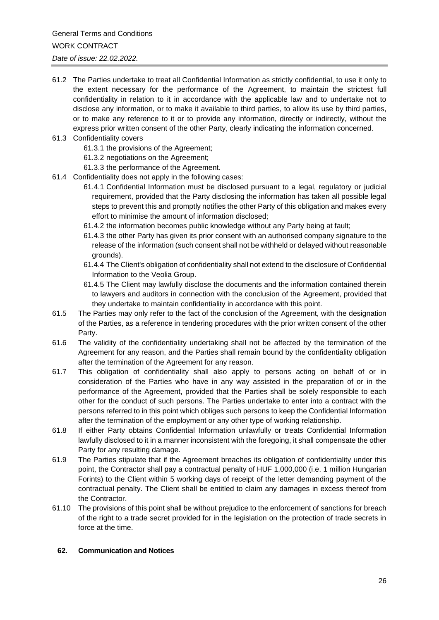- 61.2 The Parties undertake to treat all Confidential Information as strictly confidential, to use it only to the extent necessary for the performance of the Agreement, to maintain the strictest full confidentiality in relation to it in accordance with the applicable law and to undertake not to disclose any information, or to make it available to third parties, to allow its use by third parties, or to make any reference to it or to provide any information, directly or indirectly, without the express prior written consent of the other Party, clearly indicating the information concerned.
- 61.3 Confidentiality covers
	- 61.3.1 the provisions of the Agreement;
	- 61.3.2 negotiations on the Agreement;
	- 61.3.3 the performance of the Agreement.
- 61.4 Confidentiality does not apply in the following cases:
	- 61.4.1 Confidential Information must be disclosed pursuant to a legal, regulatory or judicial requirement, provided that the Party disclosing the information has taken all possible legal steps to prevent this and promptly notifies the other Party of this obligation and makes every effort to minimise the amount of information disclosed;
	- 61.4.2 the information becomes public knowledge without any Party being at fault;
	- 61.4.3 the other Party has given its prior consent with an authorised company signature to the release of the information (such consent shall not be withheld or delayed without reasonable grounds).
	- 61.4.4 The Client's obligation of confidentiality shall not extend to the disclosure of Confidential Information to the Veolia Group.
	- 61.4.5 The Client may lawfully disclose the documents and the information contained therein to lawyers and auditors in connection with the conclusion of the Agreement, provided that they undertake to maintain confidentiality in accordance with this point.
- 61.5 The Parties may only refer to the fact of the conclusion of the Agreement, with the designation of the Parties, as a reference in tendering procedures with the prior written consent of the other Party.
- 61.6 The validity of the confidentiality undertaking shall not be affected by the termination of the Agreement for any reason, and the Parties shall remain bound by the confidentiality obligation after the termination of the Agreement for any reason.
- 61.7 This obligation of confidentiality shall also apply to persons acting on behalf of or in consideration of the Parties who have in any way assisted in the preparation of or in the performance of the Agreement, provided that the Parties shall be solely responsible to each other for the conduct of such persons. The Parties undertake to enter into a contract with the persons referred to in this point which obliges such persons to keep the Confidential Information after the termination of the employment or any other type of working relationship.
- 61.8 If either Party obtains Confidential Information unlawfully or treats Confidential Information lawfully disclosed to it in a manner inconsistent with the foregoing, it shall compensate the other Party for any resulting damage.
- 61.9 The Parties stipulate that if the Agreement breaches its obligation of confidentiality under this point, the Contractor shall pay a contractual penalty of HUF 1,000,000 (i.e. 1 million Hungarian Forints) to the Client within 5 working days of receipt of the letter demanding payment of the contractual penalty. The Client shall be entitled to claim any damages in excess thereof from the Contractor.
- 61.10 The provisions of this point shall be without prejudice to the enforcement of sanctions for breach of the right to a trade secret provided for in the legislation on the protection of trade secrets in force at the time.

#### **62. Communication and Notices**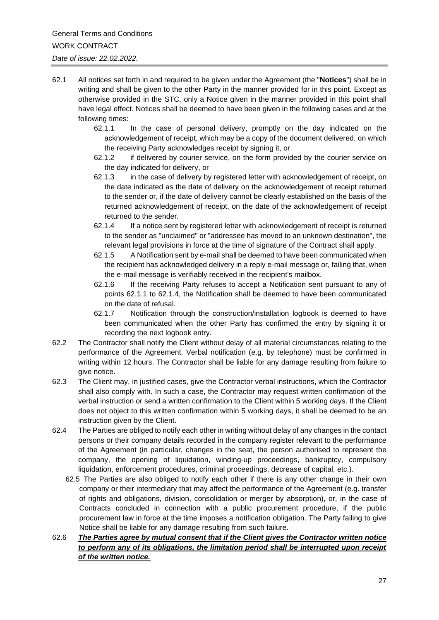- 62.1 All notices set forth in and required to be given under the Agreement (the "**Notices**") shall be in writing and shall be given to the other Party in the manner provided for in this point. Except as otherwise provided in the STC, only a Notice given in the manner provided in this point shall have legal effect. Notices shall be deemed to have been given in the following cases and at the following times:
	- 62.1.1 In the case of personal delivery, promptly on the day indicated on the acknowledgement of receipt, which may be a copy of the document delivered, on which the receiving Party acknowledges receipt by signing it, or
	- 62.1.2 if delivered by courier service, on the form provided by the courier service on the day indicated for delivery, or
	- 62.1.3 in the case of delivery by registered letter with acknowledgement of receipt, on the date indicated as the date of delivery on the acknowledgement of receipt returned to the sender or, if the date of delivery cannot be clearly established on the basis of the returned acknowledgement of receipt, on the date of the acknowledgement of receipt returned to the sender.
	- 62.1.4 If a notice sent by registered letter with acknowledgement of receipt is returned to the sender as "unclaimed" or "addressee has moved to an unknown destination", the relevant legal provisions in force at the time of signature of the Contract shall apply.
	- 62.1.5 A Notification sent by e-mail shall be deemed to have been communicated when the recipient has acknowledged delivery in a reply e-mail message or, failing that, when the e-mail message is verifiably received in the recipient's mailbox.
	- 62.1.6 If the receiving Party refuses to accept a Notification sent pursuant to any of points 62.1.1 to 62.1.4, the Notification shall be deemed to have been communicated on the date of refusal.
	- 62.1.7 Notification through the construction/installation logbook is deemed to have been communicated when the other Party has confirmed the entry by signing it or recording the next logbook entry.
- 62.2 The Contractor shall notify the Client without delay of all material circumstances relating to the performance of the Agreement. Verbal notification (e.g. by telephone) must be confirmed in writing within 12 hours. The Contractor shall be liable for any damage resulting from failure to give notice.
- 62.3 The Client may, in justified cases, give the Contractor verbal instructions, which the Contractor shall also comply with. In such a case, the Contractor may request written confirmation of the verbal instruction or send a written confirmation to the Client within 5 working days. If the Client does not object to this written confirmation within 5 working days, it shall be deemed to be an instruction given by the Client.
- 62.4 The Parties are obliged to notify each other in writing without delay of any changes in the contact persons or their company details recorded in the company register relevant to the performance of the Agreement (in particular, changes in the seat, the person authorised to represent the company, the opening of liquidation, winding-up proceedings, bankruptcy, compulsory liquidation, enforcement procedures, criminal proceedings, decrease of capital, etc.).
	- 62.5 The Parties are also obliged to notify each other if there is any other change in their own company or their intermediary that may affect the performance of the Agreement (e.g. transfer of rights and obligations, division, consolidation or merger by absorption), or, in the case of Contracts concluded in connection with a public procurement procedure, if the public procurement law in force at the time imposes a notification obligation. The Party failing to give Notice shall be liable for any damage resulting from such failure.
- 62.6 *The Parties agree by mutual consent that if the Client gives the Contractor written notice to perform any of its obligations, the limitation period shall be interrupted upon receipt of the written notice.*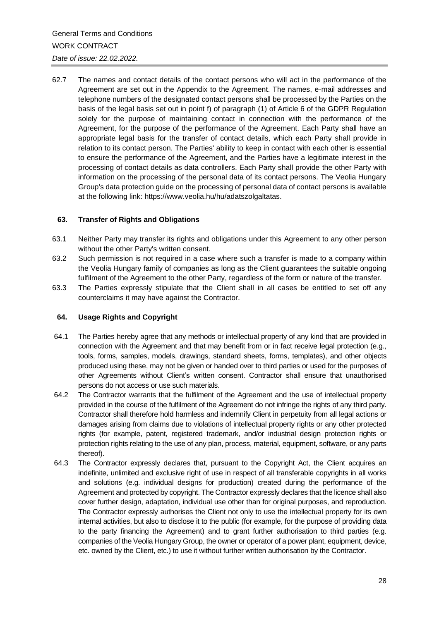62.7 The names and contact details of the contact persons who will act in the performance of the Agreement are set out in the Appendix to the Agreement. The names, e-mail addresses and telephone numbers of the designated contact persons shall be processed by the Parties on the basis of the legal basis set out in point f) of paragraph (1) of Article 6 of the GDPR Regulation solely for the purpose of maintaining contact in connection with the performance of the Agreement, for the purpose of the performance of the Agreement. Each Party shall have an appropriate legal basis for the transfer of contact details, which each Party shall provide in relation to its contact person. The Parties' ability to keep in contact with each other is essential to ensure the performance of the Agreement, and the Parties have a legitimate interest in the processing of contact details as data controllers. Each Party shall provide the other Party with information on the processing of the personal data of its contact persons. The Veolia Hungary Group's data protection guide on the processing of personal data of contact persons is available at the following link: [https://www.veolia.hu/hu/adatszolgaltatas.](https://www.veolia.hu/hu/adatszolgaltatas)

#### **63. Transfer of Rights and Obligations**

- 63.1 Neither Party may transfer its rights and obligations under this Agreement to any other person without the other Party's written consent.
- 63.2 Such permission is not required in a case where such a transfer is made to a company within the Veolia Hungary family of companies as long as the Client guarantees the suitable ongoing fulfilment of the Agreement to the other Party, regardless of the form or nature of the transfer.
- 63.3 The Parties expressly stipulate that the Client shall in all cases be entitled to set off any counterclaims it may have against the Contractor.

#### **64. Usage Rights and Copyright**

- 64.1 The Parties hereby agree that any methods or intellectual property of any kind that are provided in connection with the Agreement and that may benefit from or in fact receive legal protection (e.g., tools, forms, samples, models, drawings, standard sheets, forms, templates), and other objects produced using these, may not be given or handed over to third parties or used for the purposes of other Agreements without Client's written consent. Contractor shall ensure that unauthorised persons do not access or use such materials.
- 64.2 The Contractor warrants that the fulfilment of the Agreement and the use of intellectual property provided in the course of the fulfilment of the Agreement do not infringe the rights of any third party. Contractor shall therefore hold harmless and indemnify Client in perpetuity from all legal actions or damages arising from claims due to violations of intellectual property rights or any other protected rights (for example, patent, registered trademark, and/or industrial design protection rights or protection rights relating to the use of any plan, process, material, equipment, software, or any parts thereof).
- 64.3 The Contractor expressly declares that, pursuant to the Copyright Act, the Client acquires an indefinite, unlimited and exclusive right of use in respect of all transferable copyrights in all works and solutions (e.g. individual designs for production) created during the performance of the Agreement and protected by copyright. The Contractor expressly declares that the licence shall also cover further design, adaptation, individual use other than for original purposes, and reproduction. The Contractor expressly authorises the Client not only to use the intellectual property for its own internal activities, but also to disclose it to the public (for example, for the purpose of providing data to the party financing the Agreement) and to grant further authorisation to third parties (e.g. companies of the Veolia Hungary Group, the owner or operator of a power plant, equipment, device, etc. owned by the Client, etc.) to use it without further written authorisation by the Contractor.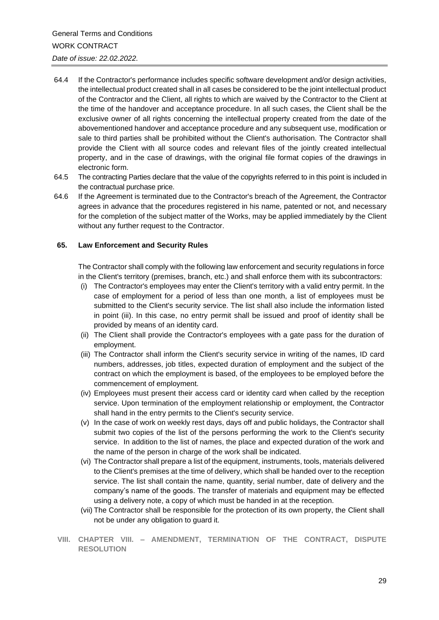- 64.4 If the Contractor's performance includes specific software development and/or design activities, the intellectual product created shall in all cases be considered to be the joint intellectual product of the Contractor and the Client, all rights to which are waived by the Contractor to the Client at the time of the handover and acceptance procedure. In all such cases, the Client shall be the exclusive owner of all rights concerning the intellectual property created from the date of the abovementioned handover and acceptance procedure and any subsequent use, modification or sale to third parties shall be prohibited without the Client's authorisation. The Contractor shall provide the Client with all source codes and relevant files of the jointly created intellectual property, and in the case of drawings, with the original file format copies of the drawings in electronic form.
- 64.5 The contracting Parties declare that the value of the copyrights referred to in this point is included in the contractual purchase price.
- 64.6 If the Agreement is terminated due to the Contractor's breach of the Agreement, the Contractor agrees in advance that the procedures registered in his name, patented or not, and necessary for the completion of the subject matter of the Works, may be applied immediately by the Client without any further request to the Contractor.

#### **65. Law Enforcement and Security Rules**

The Contractor shall comply with the following law enforcement and security regulations in force in the Client's territory (premises, branch, etc.) and shall enforce them with its subcontractors:

- (i) The Contractor's employees may enter the Client's territory with a valid entry permit. In the case of employment for a period of less than one month, a list of employees must be submitted to the Client's security service. The list shall also include the information listed in point (iii). In this case, no entry permit shall be issued and proof of identity shall be provided by means of an identity card.
- (ii) The Client shall provide the Contractor's employees with a gate pass for the duration of employment.
- (iii) The Contractor shall inform the Client's security service in writing of the names, ID card numbers, addresses, job titles, expected duration of employment and the subject of the contract on which the employment is based, of the employees to be employed before the commencement of employment.
- (iv) Employees must present their access card or identity card when called by the reception service. Upon termination of the employment relationship or employment, the Contractor shall hand in the entry permits to the Client's security service.
- (v) In the case of work on weekly rest days, days off and public holidays, the Contractor shall submit two copies of the list of the persons performing the work to the Client's security service. In addition to the list of names, the place and expected duration of the work and the name of the person in charge of the work shall be indicated.
- (vi) The Contractor shall prepare a list of the equipment, instruments, tools, materials delivered to the Client's premises at the time of delivery, which shall be handed over to the reception service. The list shall contain the name, quantity, serial number, date of delivery and the company's name of the goods. The transfer of materials and equipment may be effected using a delivery note, a copy of which must be handed in at the reception.
- (vii) The Contractor shall be responsible for the protection of its own property, the Client shall not be under any obligation to guard it.
- **VIII. CHAPTER VIII. – AMENDMENT, TERMINATION OF THE CONTRACT, DISPUTE RESOLUTION**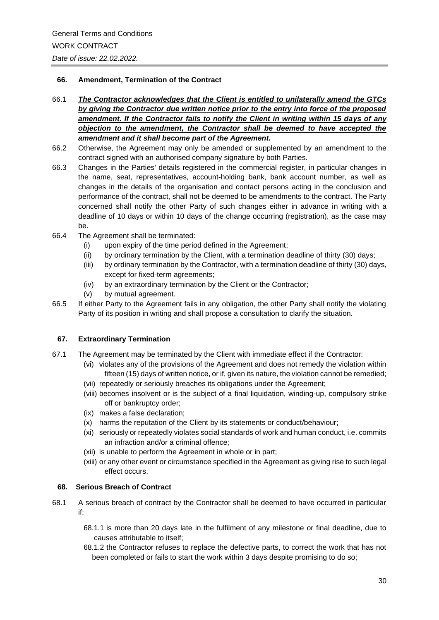## **66. Amendment, Termination of the Contract**

- 66.1 *The Contractor acknowledges that the Client is entitled to unilaterally amend the GTCs by giving the Contractor due written notice prior to the entry into force of the proposed amendment. If the Contractor fails to notify the Client in writing within 15 days of any objection to the amendment, the Contractor shall be deemed to have accepted the amendment and it shall become part of the Agreement.*
- 66.2 Otherwise, the Agreement may only be amended or supplemented by an amendment to the contract signed with an authorised company signature by both Parties.
- 66.3 Changes in the Parties' details registered in the commercial register, in particular changes in the name, seat, representatives, account-holding bank, bank account number, as well as changes in the details of the organisation and contact persons acting in the conclusion and performance of the contract, shall not be deemed to be amendments to the contract. The Party concerned shall notify the other Party of such changes either in advance in writing with a deadline of 10 days or within 10 days of the change occurring (registration), as the case may be.
- 66.4 The Agreement shall be terminated:
	- (i) upon expiry of the time period defined in the Agreement;
	- (ii) by ordinary termination by the Client, with a termination deadline of thirty (30) days;
	- (iii) by ordinary termination by the Contractor, with a termination deadline of thirty (30) days, except for fixed-term agreements;
	- (iv) by an extraordinary termination by the Client or the Contractor;
	- (v) by mutual agreement.
- 66.5 If either Party to the Agreement fails in any obligation, the other Party shall notify the violating Party of its position in writing and shall propose a consultation to clarify the situation.

## **67. Extraordinary Termination**

- 67.1 The Agreement may be terminated by the Client with immediate effect if the Contractor:
	- (vi) violates any of the provisions of the Agreement and does not remedy the violation within fifteen (15) days of written notice, or if, given its nature, the violation cannot be remedied;
	- (vii) repeatedly or seriously breaches its obligations under the Agreement;
	- (viii) becomes insolvent or is the subject of a final liquidation, winding-up, compulsory strike off or bankruptcy order;
	- (ix) makes a false declaration;
	- (x) harms the reputation of the Client by its statements or conduct/behaviour;
	- (xi) seriously or repeatedly violates social standards of work and human conduct, i.e. commits an infraction and/or a criminal offence;
	- (xii) is unable to perform the Agreement in whole or in part;
	- (xiii) or any other event or circumstance specified in the Agreement as giving rise to such legal effect occurs.

## **68. Serious Breach of Contract**

- 68.1 A serious breach of contract by the Contractor shall be deemed to have occurred in particular if:
	- 68.1.1 is more than 20 days late in the fulfilment of any milestone or final deadline, due to causes attributable to itself;
	- 68.1.2 the Contractor refuses to replace the defective parts, to correct the work that has not been completed or fails to start the work within 3 days despite promising to do so;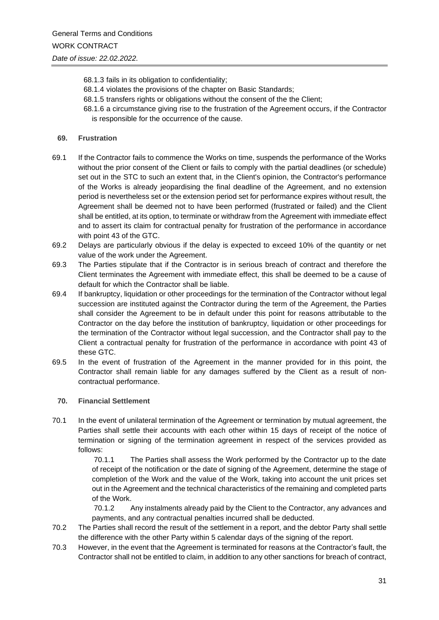- 68.1.3 fails in its obligation to confidentiality;
- 68.1.4 violates the provisions of the chapter on Basic Standards;
- 68.1.5 transfers rights or obligations without the consent of the the Client;
- 68.1.6 a circumstance giving rise to the frustration of the Agreement occurs, if the Contractor is responsible for the occurrence of the cause.

## **69. Frustration**

- 69.1 If the Contractor fails to commence the Works on time, suspends the performance of the Works without the prior consent of the Client or fails to comply with the partial deadlines (or schedule) set out in the STC to such an extent that, in the Client's opinion, the Contractor's performance of the Works is already jeopardising the final deadline of the Agreement, and no extension period is nevertheless set or the extension period set for performance expires without result, the Agreement shall be deemed not to have been performed (frustrated or failed) and the Client shall be entitled, at its option, to terminate or withdraw from the Agreement with immediate effect and to assert its claim for contractual penalty for frustration of the performance in accordance with point 43 of the GTC.
- 69.2 Delays are particularly obvious if the delay is expected to exceed 10% of the quantity or net value of the work under the Agreement.
- 69.3 The Parties stipulate that if the Contractor is in serious breach of contract and therefore the Client terminates the Agreement with immediate effect, this shall be deemed to be a cause of default for which the Contractor shall be liable.
- 69.4 If bankruptcy, liquidation or other proceedings for the termination of the Contractor without legal succession are instituted against the Contractor during the term of the Agreement, the Parties shall consider the Agreement to be in default under this point for reasons attributable to the Contractor on the day before the institution of bankruptcy, liquidation or other proceedings for the termination of the Contractor without legal succession, and the Contractor shall pay to the Client a contractual penalty for frustration of the performance in accordance with point 43 of these GTC.
- 69.5 In the event of frustration of the Agreement in the manner provided for in this point, the Contractor shall remain liable for any damages suffered by the Client as a result of noncontractual performance.

## **70. Financial Settlement**

70.1 In the event of unilateral termination of the Agreement or termination by mutual agreement, the Parties shall settle their accounts with each other within 15 days of receipt of the notice of termination or signing of the termination agreement in respect of the services provided as follows:

> 70.1.1 The Parties shall assess the Work performed by the Contractor up to the date of receipt of the notification or the date of signing of the Agreement, determine the stage of completion of the Work and the value of the Work, taking into account the unit prices set out in the Agreement and the technical characteristics of the remaining and completed parts of the Work.

> 70.1.2 Any instalments already paid by the Client to the Contractor, any advances and payments, and any contractual penalties incurred shall be deducted.

- 70.2 The Parties shall record the result of the settlement in a report, and the debtor Party shall settle the difference with the other Party within 5 calendar days of the signing of the report.
- 70.3 However, in the event that the Agreement is terminated for reasons at the Contractor's fault, the Contractor shall not be entitled to claim, in addition to any other sanctions for breach of contract,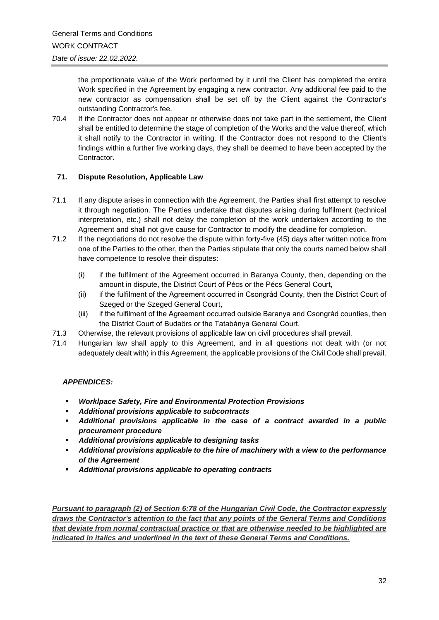the proportionate value of the Work performed by it until the Client has completed the entire Work specified in the Agreement by engaging a new contractor. Any additional fee paid to the new contractor as compensation shall be set off by the Client against the Contractor's outstanding Contractor's fee.

70.4 If the Contractor does not appear or otherwise does not take part in the settlement, the Client shall be entitled to determine the stage of completion of the Works and the value thereof, which it shall notify to the Contractor in writing. If the Contractor does not respond to the Client's findings within a further five working days, they shall be deemed to have been accepted by the Contractor.

# **71. Dispute Resolution, Applicable Law**

- 71.1 If any dispute arises in connection with the Agreement, the Parties shall first attempt to resolve it through negotiation. The Parties undertake that disputes arising during fulfilment (technical interpretation, etc.) shall not delay the completion of the work undertaken according to the Agreement and shall not give cause for Contractor to modify the deadline for completion.
- 71.2 If the negotiations do not resolve the dispute within forty-five (45) days after written notice from one of the Parties to the other, then the Parties stipulate that only the courts named below shall have competence to resolve their disputes:
	- (i) if the fulfilment of the Agreement occurred in Baranya County, then, depending on the amount in dispute, the District Court of Pécs or the Pécs General Court,
	- (ii) if the fulfilment of the Agreement occurred in Csongrád County, then the District Court of Szeged or the Szeged General Court,
	- (iii) if the fulfilment of the Agreement occurred outside Baranya and Csongrád counties, then the District Court of Budaörs or the Tatabánya General Court.
- 71.3 Otherwise, the relevant provisions of applicable law on civil procedures shall prevail.
- 71.4 Hungarian law shall apply to this Agreement, and in all questions not dealt with (or not adequately dealt with) in this Agreement, the applicable provisions of the Civil Code shall prevail.

# *APPENDICES:*

- *Worklpace Safety, Fire and Environmental Protection Provisions*
- *Additional provisions applicable to subcontracts*
- Additional provisions applicable in the case of a contract awarded in a public *procurement procedure*
- *Additional provisions applicable to designing tasks*
- *Additional provisions applicable to the hire of machinery with a view to the performance of the Agreement*
- *Additional provisions applicable to operating contracts*

*Pursuant to paragraph (2) of Section 6:78 of the Hungarian Civil Code, the Contractor expressly draws the Contractor's attention to the fact that any points of the General Terms and Conditions that deviate from normal contractual practice or that are otherwise needed to be highlighted are indicated in italics and underlined in the text of these General Terms and Conditions.*